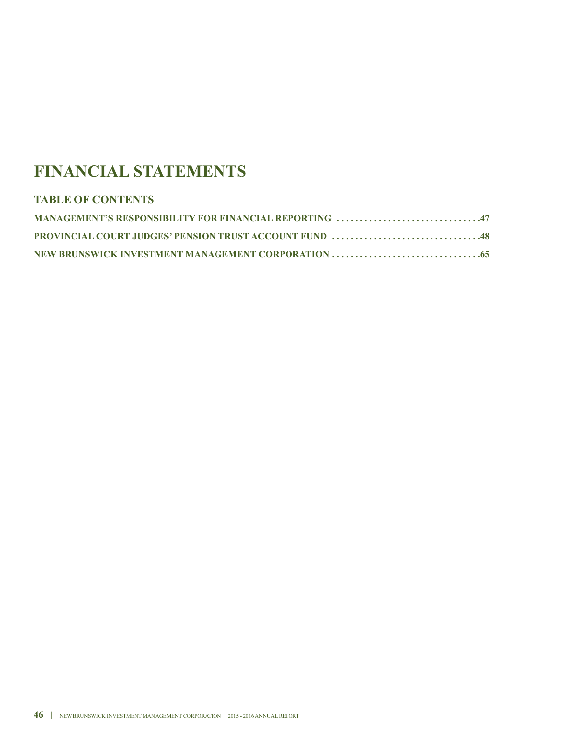# **FINANCIAL STATEMENTS**

## **TABLE OF CONTENTS**

| MANAGEMENT'S RESPONSIBILITY FOR FINANCIAL REPORTING 47 |  |
|--------------------------------------------------------|--|
| PROVINCIAL COURT JUDGES' PENSION TRUST ACCOUNT FUND 48 |  |
|                                                        |  |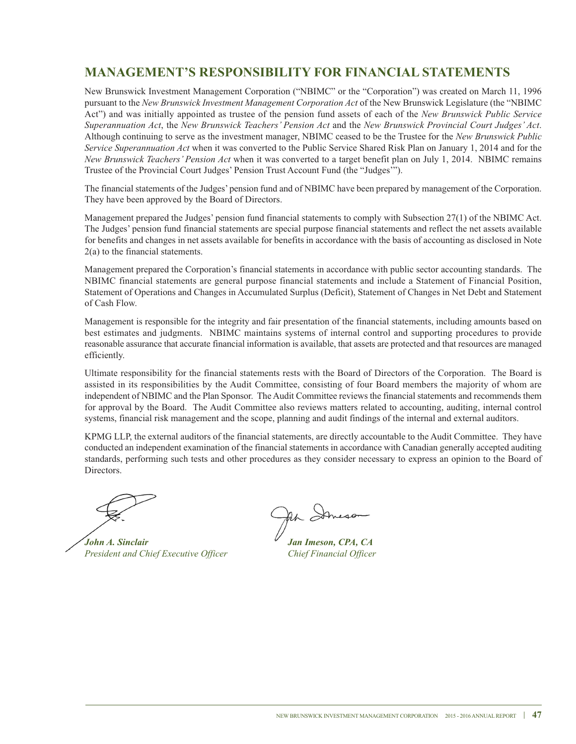## **MANAGEMENT'S RESPONSIBILITY FOR FINANCIAL STATEMENTS**

New Brunswick Investment Management Corporation ("NBIMC" or the "Corporation") was created on March 11, 1996 pursuant to the *New Brunswick Investment Management Corporation Act* of the New Brunswick Legislature (the "NBIMC Act") and was initially appointed as trustee of the pension fund assets of each of the *New Brunswick Public Service Superannuation Act*, the *New Brunswick Teachers' Pension Act* and the *New Brunswick Provincial Court Judges' Act*. Although continuing to serve as the investment manager, NBIMC ceased to be the Trustee for the *New Brunswick Public Service Superannuation Act* when it was converted to the Public Service Shared Risk Plan on January 1, 2014 and for the *New Brunswick Teachers' Pension Act* when it was converted to a target benefit plan on July 1, 2014. NBIMC remains Trustee of the Provincial Court Judges' Pension Trust Account Fund (the "Judges'").

The financial statements of the Judges' pension fund and of NBIMC have been prepared by management of the Corporation. They have been approved by the Board of Directors.

Management prepared the Judges' pension fund financial statements to comply with Subsection 27(1) of the NBIMC Act. The Judges' pension fund financial statements are special purpose financial statements and reflect the net assets available for benefits and changes in net assets available for benefits in accordance with the basis of accounting as disclosed in Note 2(a) to the financial statements.

Management prepared the Corporation's financial statements in accordance with public sector accounting standards. The NBIMC financial statements are general purpose financial statements and include a Statement of Financial Position, Statement of Operations and Changes in Accumulated Surplus (Deficit), Statement of Changes in Net Debt and Statement of Cash Flow.

Management is responsible for the integrity and fair presentation of the financial statements, including amounts based on best estimates and judgments. NBIMC maintains systems of internal control and supporting procedures to provide reasonable assurance that accurate financial information is available, that assets are protected and that resources are managed efficiently.

Ultimate responsibility for the financial statements rests with the Board of Directors of the Corporation. The Board is assisted in its responsibilities by the Audit Committee, consisting of four Board members the majority of whom are independent of NBIMC and the Plan Sponsor. The Audit Committee reviews the financial statements and recommends them for approval by the Board. The Audit Committee also reviews matters related to accounting, auditing, internal control systems, financial risk management and the scope, planning and audit findings of the internal and external auditors.

KPMG LLP, the external auditors of the financial statements, are directly accountable to the Audit Committee. They have conducted an independent examination of the financial statements in accordance with Canadian generally accepted auditing standards, performing such tests and other procedures as they consider necessary to express an opinion to the Board of Directors.

*John A. Sinclair Jan Imeson, CPA, CA President and Chief Executive Officer Chief Financial Officer*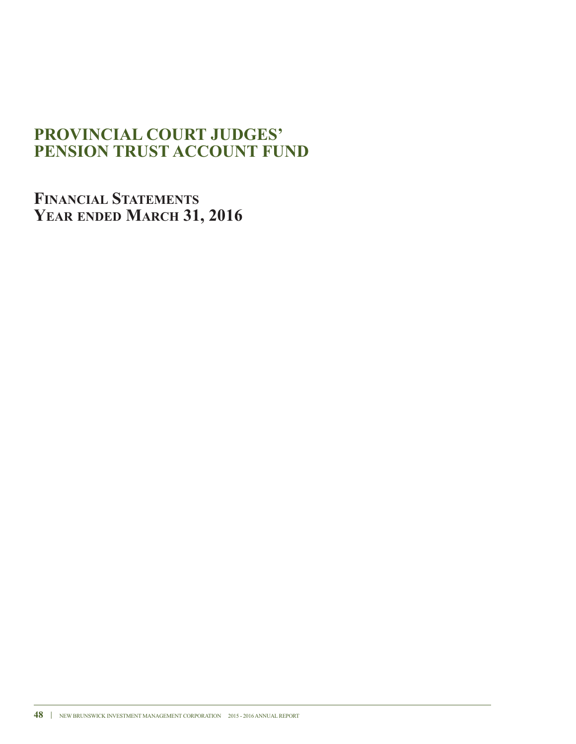# **PROVINCIAL COURT JUDGES' PENSION TRUST ACCOUNT FUND**

**FINANCIAL STATEMENTS YEAR ENDED MARCH 31, 2016**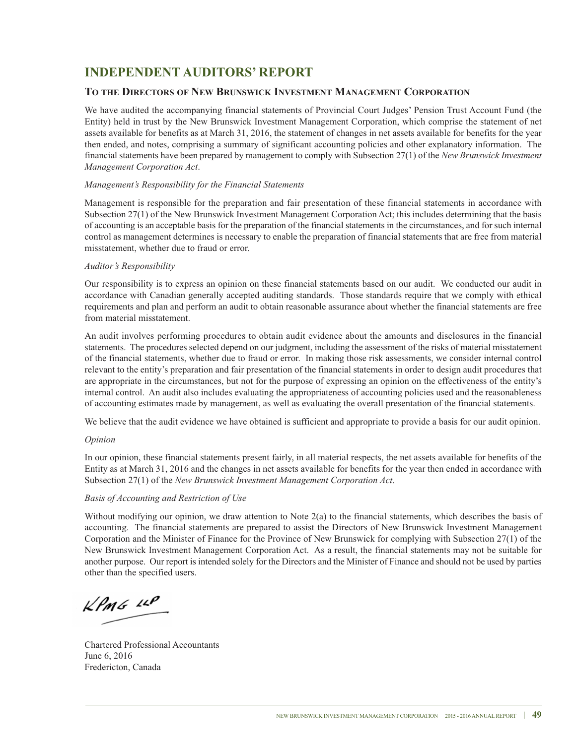## **INDEPENDENT AUDITORS' REPORT**

### **TO THE DIRECTORS OF NEW BRUNSWICK INVESTMENT MANAGEMENT CORPORATION**

We have audited the accompanying financial statements of Provincial Court Judges' Pension Trust Account Fund (the Entity) held in trust by the New Brunswick Investment Management Corporation, which comprise the statement of net assets available for benefits as at March 31, 2016, the statement of changes in net assets available for benefits for the year then ended, and notes, comprising a summary of significant accounting policies and other explanatory information. The financial statements have been prepared by management to comply with Subsection 27(1) of the *New Brunswick Investment Management Corporation Act*.

#### *Management's Responsibility for the Financial Statements*

Management is responsible for the preparation and fair presentation of these financial statements in accordance with Subsection 27(1) of the New Brunswick Investment Management Corporation Act; this includes determining that the basis of accounting is an acceptable basis for the preparation of the financial statements in the circumstances, and for such internal control as management determines is necessary to enable the preparation of financial statements that are free from material misstatement, whether due to fraud or error.

#### *Auditor's Responsibility*

Our responsibility is to express an opinion on these financial statements based on our audit. We conducted our audit in accordance with Canadian generally accepted auditing standards. Those standards require that we comply with ethical requirements and plan and perform an audit to obtain reasonable assurance about whether the financial statements are free from material misstatement.

An audit involves performing procedures to obtain audit evidence about the amounts and disclosures in the financial statements. The procedures selected depend on our judgment, including the assessment of the risks of material misstatement of the financial statements, whether due to fraud or error. In making those risk assessments, we consider internal control relevant to the entity's preparation and fair presentation of the financial statements in order to design audit procedures that are appropriate in the circumstances, but not for the purpose of expressing an opinion on the effectiveness of the entity's internal control. An audit also includes evaluating the appropriateness of accounting policies used and the reasonableness of accounting estimates made by management, as well as evaluating the overall presentation of the financial statements.

We believe that the audit evidence we have obtained is sufficient and appropriate to provide a basis for our audit opinion.

#### *Opinion*

In our opinion, these financial statements present fairly, in all material respects, the net assets available for benefits of the Entity as at March 31, 2016 and the changes in net assets available for benefits for the year then ended in accordance with Subsection 27(1) of the *New Brunswick Investment Management Corporation Act*.

#### *Basis of Accounting and Restriction of Use*

Without modifying our opinion, we draw attention to Note 2(a) to the financial statements, which describes the basis of accounting. The financial statements are prepared to assist the Directors of New Brunswick Investment Management Corporation and the Minister of Finance for the Province of New Brunswick for complying with Subsection 27(1) of the New Brunswick Investment Management Corporation Act. As a result, the financial statements may not be suitable for another purpose. Our report is intended solely for the Directors and the Minister of Finance and should not be used by parties other than the specified users.

 $k$ *PmG*  $44$ 

Chartered Professional Accountants June 6, 2016 Fredericton, Canada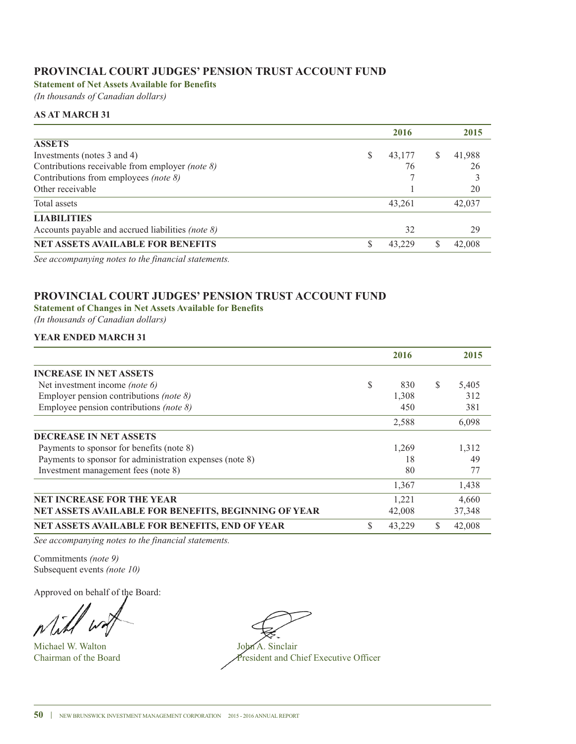## **PROVINCIAL COURT JUDGES' PENSION TRUST ACCOUNT FUND**

**Statement of Net Assets Available for Benefits**

*(In thousands of Canadian dollars)*

### **AS AT MARCH 31**

|                                                        | 2016   |   | 2015   |
|--------------------------------------------------------|--------|---|--------|
| <b>ASSETS</b>                                          |        |   |        |
| Investments (notes 3 and 4)                            | 43,177 | S | 41,988 |
| Contributions receivable from employer <i>(note 8)</i> | 76     |   | 26     |
| Contributions from employees (note 8)                  |        |   |        |
| Other receivable                                       |        |   | 20     |
| Total assets                                           | 43,261 |   | 42,037 |
| <b>LIABILITIES</b>                                     |        |   |        |
| Accounts payable and accrued liabilities (note 8)      | 32     |   | 29     |
| <b>NET ASSETS AVAILABLE FOR BENEFITS</b>               | 43.229 | S | 42,008 |

*See accompanying notes to the financial statements.*

### **PROVINCIAL COURT JUDGES' PENSION TRUST ACCOUNT FUND**

**Statement of Changes in Net Assets Available for Benefits**

*(In thousands of Canadian dollars)*

#### **YEAR ENDED MARCH 31**

|                                                             |   | 2016   |   | 2015   |
|-------------------------------------------------------------|---|--------|---|--------|
| <b>INCREASE IN NET ASSETS</b>                               |   |        |   |        |
| Net investment income <i>(note 6)</i>                       | S | 830    | S | 5,405  |
| Employer pension contributions (note $\delta$ )             |   | 1,308  |   | 312    |
| Employee pension contributions (note 8)                     |   | 450    |   | 381    |
|                                                             |   | 2,588  |   | 6,098  |
| <b>DECREASE IN NET ASSETS</b>                               |   |        |   |        |
| Payments to sponsor for benefits (note 8)                   |   | 1,269  |   | 1,312  |
| Payments to sponsor for administration expenses (note 8)    |   | 18     |   | 49     |
| Investment management fees (note 8)                         |   | 80     |   | 77     |
|                                                             |   | 1,367  |   | 1,438  |
| <b>NET INCREASE FOR THE YEAR</b>                            |   | 1,221  |   | 4,660  |
| <b>NET ASSETS AVAILABLE FOR BENEFITS, BEGINNING OF YEAR</b> |   | 42,008 |   | 37,348 |
| NET ASSETS AVAILABLE FOR BENEFITS, END OF YEAR              | S | 43.229 | S | 42,008 |

*See accompanying notes to the financial statements.*

Commitments *(note 9)* Subsequent events *(note 10)*

Approved on behalf of the Board:

Michael W. Walton John A. Sinclair

Chairman of the Board President and Chief Executive Officer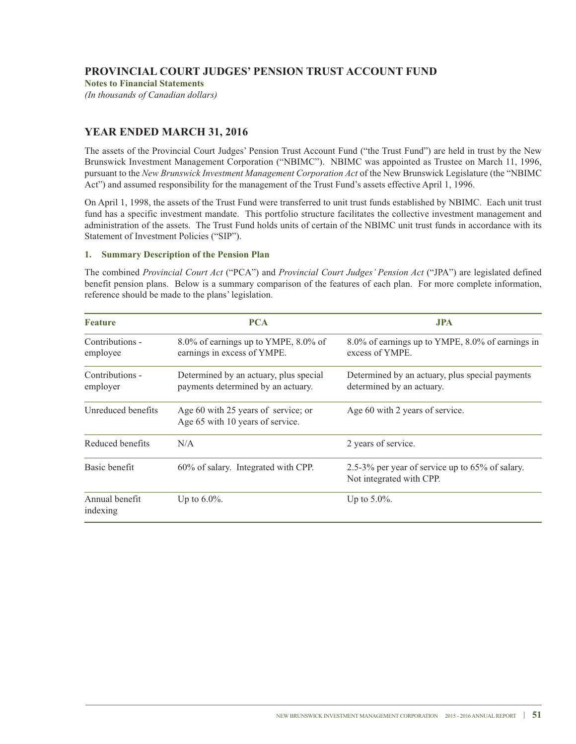## **PROVINCIAL COURT JUDGES' PENSION TRUST ACCOUNT FUND**

**Notes to Financial Statements** *(In thousands of Canadian dollars)*

## **YEAR ENDED MARCH 31, 2016**

The assets of the Provincial Court Judges' Pension Trust Account Fund ("the Trust Fund") are held in trust by the New Brunswick Investment Management Corporation ("NBIMC"). NBIMC was appointed as Trustee on March 11, 1996, pursuant to the *New Brunswick Investment Management Corporation Act* of the New Brunswick Legislature (the "NBIMC Act") and assumed responsibility for the management of the Trust Fund's assets effective April 1, 1996.

On April 1, 1998, the assets of the Trust Fund were transferred to unit trust funds established by NBIMC. Each unit trust fund has a specific investment mandate. This portfolio structure facilitates the collective investment management and administration of the assets. The Trust Fund holds units of certain of the NBIMC unit trust funds in accordance with its Statement of Investment Policies ("SIP").

#### **1. Summary Description of the Pension Plan**

The combined *Provincial Court Act* ("PCA") and *Provincial Court Judges' Pension Act* ("JPA") are legislated defined benefit pension plans. Below is a summary comparison of the features of each plan. For more complete information, reference should be made to the plans' legislation.

| <b>Feature</b>              | <b>PCA</b>                                                                   | JPA                                                                          |
|-----------------------------|------------------------------------------------------------------------------|------------------------------------------------------------------------------|
| Contributions -<br>employee | 8.0% of earnings up to YMPE, 8.0% of<br>earnings in excess of YMPE.          | 8.0% of earnings up to YMPE, 8.0% of earnings in<br>excess of YMPE.          |
| Contributions -<br>employer | Determined by an actuary, plus special<br>payments determined by an actuary. | Determined by an actuary, plus special payments<br>determined by an actuary. |
| Unreduced benefits          | Age 60 with 25 years of service; or<br>Age 65 with 10 years of service.      | Age 60 with 2 years of service.                                              |
| Reduced benefits            | N/A                                                                          | 2 years of service.                                                          |
| Basic benefit               | 60% of salary. Integrated with CPP.                                          | 2.5-3% per year of service up to 65% of salary.<br>Not integrated with CPP.  |
| Annual benefit<br>indexing  | Up to $6.0\%$ .                                                              | Up to $5.0\%$ .                                                              |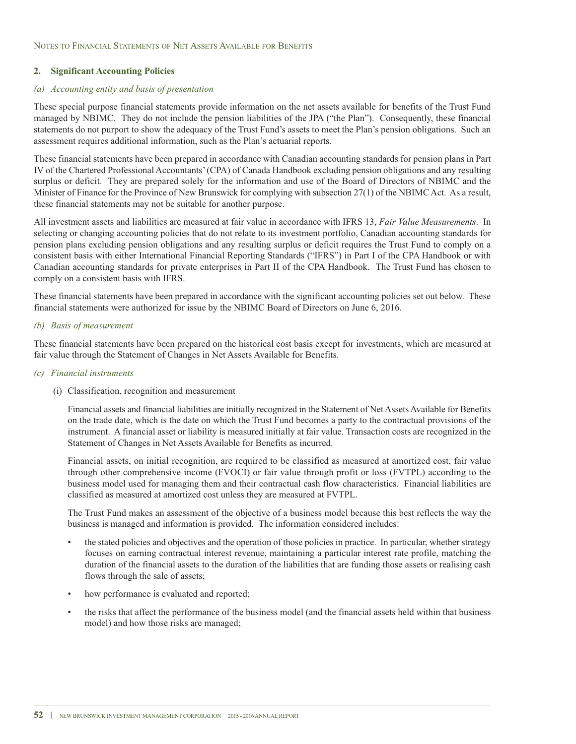#### **2. Significant Accounting Policies**

#### *(a) Accounting entity and basis of presentation*

These special purpose financial statements provide information on the net assets available for benefits of the Trust Fund managed by NBIMC. They do not include the pension liabilities of the JPA ("the Plan"). Consequently, these financial statements do not purport to show the adequacy of the Trust Fund's assets to meet the Plan's pension obligations. Such an assessment requires additional information, such as the Plan's actuarial reports.

These financial statements have been prepared in accordance with Canadian accounting standards for pension plans in Part IV of the Chartered Professional Accountants'(CPA) of Canada Handbook excluding pension obligations and any resulting surplus or deficit. They are prepared solely for the information and use of the Board of Directors of NBIMC and the Minister of Finance for the Province of New Brunswick for complying with subsection 27(1) of the NBIMC Act. As a result, these financial statements may not be suitable for another purpose.

All investment assets and liabilities are measured at fair value in accordance with IFRS 13, *Fair Value Measurements*. In selecting or changing accounting policies that do not relate to its investment portfolio, Canadian accounting standards for pension plans excluding pension obligations and any resulting surplus or deficit requires the Trust Fund to comply on a consistent basis with either International Financial Reporting Standards ("IFRS") in Part I of the CPA Handbook or with Canadian accounting standards for private enterprises in Part II of the CPA Handbook. The Trust Fund has chosen to comply on a consistent basis with IFRS.

These financial statements have been prepared in accordance with the significant accounting policies set out below. These financial statements were authorized for issue by the NBIMC Board of Directors on June 6, 2016.

#### *(b) Basis of measurement*

These financial statements have been prepared on the historical cost basis except for investments, which are measured at fair value through the Statement of Changes in Net Assets Available for Benefits.

#### *(c) Financial instruments*

(i) Classification, recognition and measurement

Financial assets and financial liabilities are initially recognized in the Statement of Net Assets Available for Benefits on the trade date, which is the date on which the Trust Fund becomes a party to the contractual provisions of the instrument. A financial asset or liability is measured initially at fair value. Transaction costs are recognized in the Statement of Changes in Net Assets Available for Benefits as incurred.

Financial assets, on initial recognition, are required to be classified as measured at amortized cost, fair value through other comprehensive income (FVOCI) or fair value through profit or loss (FVTPL) according to the business model used for managing them and their contractual cash flow characteristics. Financial liabilities are classified as measured at amortized cost unless they are measured at FVTPL.

The Trust Fund makes an assessment of the objective of a business model because this best reflects the way the business is managed and information is provided. The information considered includes:

- the stated policies and objectives and the operation of those policies in practice. In particular, whether strategy focuses on earning contractual interest revenue, maintaining a particular interest rate profile, matching the duration of the financial assets to the duration of the liabilities that are funding those assets or realising cash flows through the sale of assets;
- how performance is evaluated and reported;
- the risks that affect the performance of the business model (and the financial assets held within that business model) and how those risks are managed;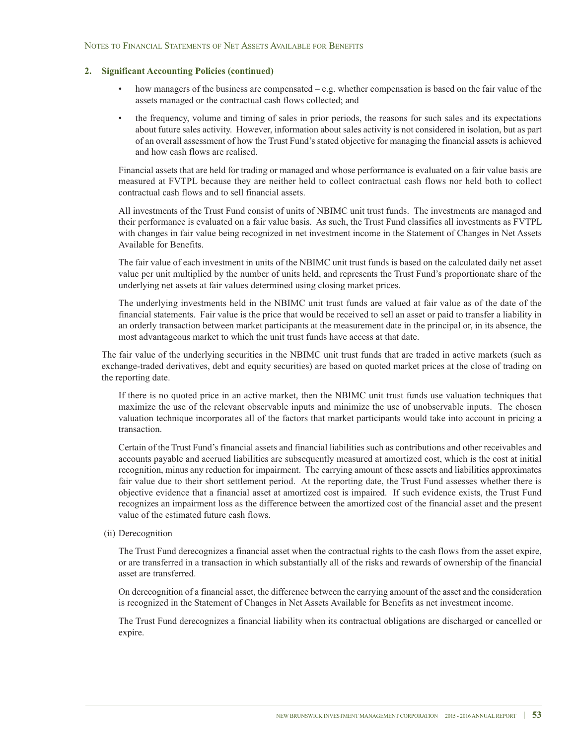#### **2. Significant Accounting Policies (continued)**

- how managers of the business are compensated e.g. whether compensation is based on the fair value of the assets managed or the contractual cash flows collected; and
- the frequency, volume and timing of sales in prior periods, the reasons for such sales and its expectations about future sales activity. However, information about sales activity is not considered in isolation, but as part of an overall assessment of how the Trust Fund's stated objective for managing the financial assets is achieved and how cash flows are realised.

Financial assets that are held for trading or managed and whose performance is evaluated on a fair value basis are measured at FVTPL because they are neither held to collect contractual cash flows nor held both to collect contractual cash flows and to sell financial assets.

All investments of the Trust Fund consist of units of NBIMC unit trust funds. The investments are managed and their performance is evaluated on a fair value basis. As such, the Trust Fund classifies all investments as FVTPL with changes in fair value being recognized in net investment income in the Statement of Changes in Net Assets Available for Benefits.

The fair value of each investment in units of the NBIMC unit trust funds is based on the calculated daily net asset value per unit multiplied by the number of units held, and represents the Trust Fund's proportionate share of the underlying net assets at fair values determined using closing market prices.

The underlying investments held in the NBIMC unit trust funds are valued at fair value as of the date of the financial statements. Fair value is the price that would be received to sell an asset or paid to transfer a liability in an orderly transaction between market participants at the measurement date in the principal or, in its absence, the most advantageous market to which the unit trust funds have access at that date.

The fair value of the underlying securities in the NBIMC unit trust funds that are traded in active markets (such as exchange-traded derivatives, debt and equity securities) are based on quoted market prices at the close of trading on the reporting date.

If there is no quoted price in an active market, then the NBIMC unit trust funds use valuation techniques that maximize the use of the relevant observable inputs and minimize the use of unobservable inputs. The chosen valuation technique incorporates all of the factors that market participants would take into account in pricing a transaction.

Certain of the Trust Fund's financial assets and financial liabilities such as contributions and other receivables and accounts payable and accrued liabilities are subsequently measured at amortized cost, which is the cost at initial recognition, minus any reduction for impairment. The carrying amount of these assets and liabilities approximates fair value due to their short settlement period. At the reporting date, the Trust Fund assesses whether there is objective evidence that a financial asset at amortized cost is impaired. If such evidence exists, the Trust Fund recognizes an impairment loss as the difference between the amortized cost of the financial asset and the present value of the estimated future cash flows.

#### (ii) Derecognition

The Trust Fund derecognizes a financial asset when the contractual rights to the cash flows from the asset expire, or are transferred in a transaction in which substantially all of the risks and rewards of ownership of the financial asset are transferred.

On derecognition of a financial asset, the difference between the carrying amount of the asset and the consideration is recognized in the Statement of Changes in Net Assets Available for Benefits as net investment income.

The Trust Fund derecognizes a financial liability when its contractual obligations are discharged or cancelled or expire.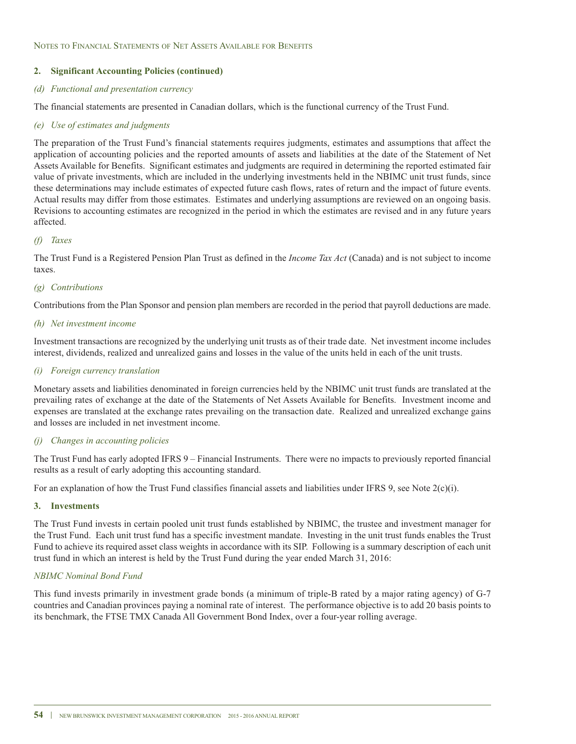#### **2. Significant Accounting Policies (continued)**

#### *(d) Functional and presentation currency*

The financial statements are presented in Canadian dollars, which is the functional currency of the Trust Fund.

#### *(e) Use of estimates and judgments*

The preparation of the Trust Fund's financial statements requires judgments, estimates and assumptions that affect the application of accounting policies and the reported amounts of assets and liabilities at the date of the Statement of Net Assets Available for Benefits. Significant estimates and judgments are required in determining the reported estimated fair value of private investments, which are included in the underlying investments held in the NBIMC unit trust funds, since these determinations may include estimates of expected future cash flows, rates of return and the impact of future events. Actual results may differ from those estimates. Estimates and underlying assumptions are reviewed on an ongoing basis. Revisions to accounting estimates are recognized in the period in which the estimates are revised and in any future years affected.

#### *(f) Taxes*

The Trust Fund is a Registered Pension Plan Trust as defined in the *Income Tax Act* (Canada) and is not subject to income taxes.

#### *(g) Contributions*

Contributions from the Plan Sponsor and pension plan members are recorded in the period that payroll deductions are made.

#### *(h) Net investment income*

Investment transactions are recognized by the underlying unit trusts as of their trade date. Net investment income includes interest, dividends, realized and unrealized gains and losses in the value of the units held in each of the unit trusts.

#### *(i) Foreign currency translation*

Monetary assets and liabilities denominated in foreign currencies held by the NBIMC unit trust funds are translated at the prevailing rates of exchange at the date of the Statements of Net Assets Available for Benefits. Investment income and expenses are translated at the exchange rates prevailing on the transaction date. Realized and unrealized exchange gains and losses are included in net investment income.

#### *(j) Changes in accounting policies*

The Trust Fund has early adopted IFRS 9 – Financial Instruments. There were no impacts to previously reported financial results as a result of early adopting this accounting standard.

For an explanation of how the Trust Fund classifies financial assets and liabilities under IFRS 9, see Note 2(c)(i).

#### **3. Investments**

The Trust Fund invests in certain pooled unit trust funds established by NBIMC, the trustee and investment manager for the Trust Fund. Each unit trust fund has a specific investment mandate. Investing in the unit trust funds enables the Trust Fund to achieve its required asset class weights in accordance with its SIP. Following is a summary description of each unit trust fund in which an interest is held by the Trust Fund during the year ended March 31, 2016:

#### *NBIMC Nominal Bond Fund*

This fund invests primarily in investment grade bonds (a minimum of triple-B rated by a major rating agency) of G-7 countries and Canadian provinces paying a nominal rate of interest. The performance objective is to add 20 basis points to its benchmark, the FTSE TMX Canada All Government Bond Index, over a four-year rolling average.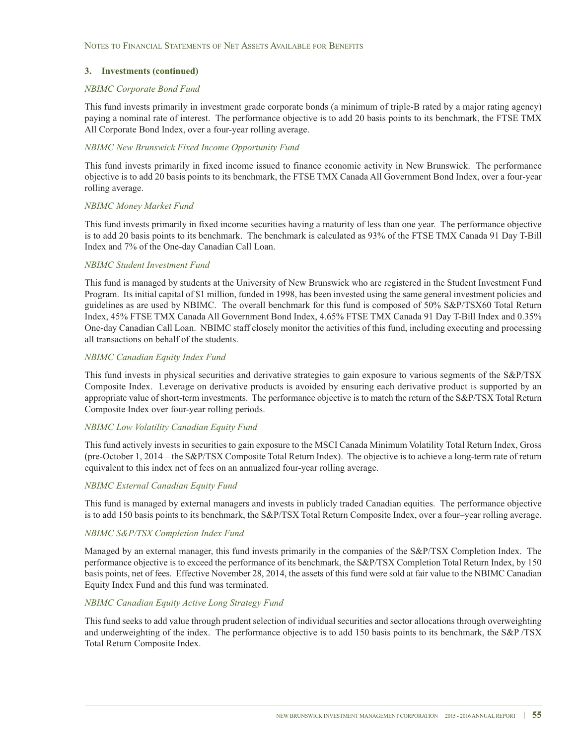#### *NBIMC Corporate Bond Fund*

This fund invests primarily in investment grade corporate bonds (a minimum of triple-B rated by a major rating agency) paying a nominal rate of interest. The performance objective is to add 20 basis points to its benchmark, the FTSE TMX All Corporate Bond Index, over a four-year rolling average.

#### *NBIMC New Brunswick Fixed Income Opportunity Fund*

This fund invests primarily in fixed income issued to finance economic activity in New Brunswick. The performance objective is to add 20 basis points to its benchmark, the FTSE TMX Canada All Government Bond Index, over a four-year rolling average.

#### *NBIMC Money Market Fund*

This fund invests primarily in fixed income securities having a maturity of less than one year. The performance objective is to add 20 basis points to its benchmark. The benchmark is calculated as 93% of the FTSE TMX Canada 91 Day T-Bill Index and 7% of the One-day Canadian Call Loan.

#### *NBIMC Student Investment Fund*

This fund is managed by students at the University of New Brunswick who are registered in the Student Investment Fund Program. Its initial capital of \$1 million, funded in 1998, has been invested using the same general investment policies and guidelines as are used by NBIMC. The overall benchmark for this fund is composed of 50% S&P/TSX60 Total Return Index, 45% FTSE TMX Canada All Government Bond Index, 4.65% FTSE TMX Canada 91 Day T-Bill Index and 0.35% One-day Canadian Call Loan. NBIMC staff closely monitor the activities of this fund, including executing and processing all transactions on behalf of the students.

#### *NBIMC Canadian Equity Index Fund*

This fund invests in physical securities and derivative strategies to gain exposure to various segments of the S&P/TSX Composite Index. Leverage on derivative products is avoided by ensuring each derivative product is supported by an appropriate value of short-term investments. The performance objective is to match the return of the S&P/TSX Total Return Composite Index over four-year rolling periods.

#### *NBIMC Low Volatility Canadian Equity Fund*

This fund actively invests in securities to gain exposure to the MSCI Canada Minimum Volatility Total Return Index, Gross (pre-October 1, 2014 – the S&P/TSX Composite Total Return Index). The objective is to achieve a long-term rate of return equivalent to this index net of fees on an annualized four-year rolling average.

#### *NBIMC External Canadian Equity Fund*

This fund is managed by external managers and invests in publicly traded Canadian equities. The performance objective is to add 150 basis points to its benchmark, the S&P/TSX Total Return Composite Index, over a four–year rolling average.

#### *NBIMC S&P/TSX Completion Index Fund*

Managed by an external manager, this fund invests primarily in the companies of the S&P/TSX Completion Index. The performance objective is to exceed the performance of its benchmark, the S&P/TSX Completion Total Return Index, by 150 basis points, net of fees. Effective November 28, 2014, the assets of this fund were sold at fair value to the NBIMC Canadian Equity Index Fund and this fund was terminated.

#### *NBIMC Canadian Equity Active Long Strategy Fund*

This fund seeks to add value through prudent selection of individual securities and sector allocations through overweighting and underweighting of the index. The performance objective is to add 150 basis points to its benchmark, the S&P /TSX Total Return Composite Index.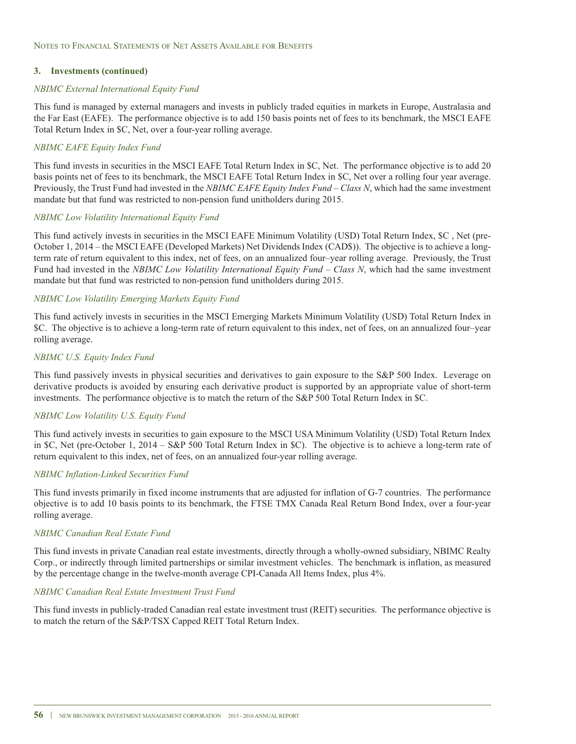#### *NBIMC External International Equity Fund*

This fund is managed by external managers and invests in publicly traded equities in markets in Europe, Australasia and the Far East (EAFE). The performance objective is to add 150 basis points net of fees to its benchmark, the MSCI EAFE Total Return Index in \$C, Net, over a four-year rolling average.

#### *NBIMC EAFE Equity Index Fund*

This fund invests in securities in the MSCI EAFE Total Return Index in \$C, Net. The performance objective is to add 20 basis points net of fees to its benchmark, the MSCI EAFE Total Return Index in \$C, Net over a rolling four year average. Previously, the Trust Fund had invested in the *NBIMC EAFE Equity Index Fund – Class N*, which had the same investment mandate but that fund was restricted to non-pension fund unitholders during 2015.

#### *NBIMC Low Volatility International Equity Fund*

This fund actively invests in securities in the MSCI EAFE Minimum Volatility (USD) Total Return Index, \$C , Net (pre-October 1, 2014 – the MSCI EAFE (Developed Markets) Net Dividends Index (CAD\$)). The objective is to achieve a longterm rate of return equivalent to this index, net of fees, on an annualized four–year rolling average. Previously, the Trust Fund had invested in the *NBIMC Low Volatility International Equity Fund – Class N*, which had the same investment mandate but that fund was restricted to non-pension fund unitholders during 2015.

#### *NBIMC Low Volatility Emerging Markets Equity Fund*

This fund actively invests in securities in the MSCI Emerging Markets Minimum Volatility (USD) Total Return Index in \$C. The objective is to achieve a long-term rate of return equivalent to this index, net of fees, on an annualized four–year rolling average.

#### *NBIMC U.S. Equity Index Fund*

This fund passively invests in physical securities and derivatives to gain exposure to the S&P 500 Index. Leverage on derivative products is avoided by ensuring each derivative product is supported by an appropriate value of short-term investments. The performance objective is to match the return of the S&P 500 Total Return Index in \$C.

#### *NBIMC Low Volatility U.S. Equity Fund*

This fund actively invests in securities to gain exposure to the MSCI USA Minimum Volatility (USD) Total Return Index in \$C, Net (pre-October 1, 2014 – S&P 500 Total Return Index in \$C). The objective is to achieve a long-term rate of return equivalent to this index, net of fees, on an annualized four-year rolling average.

#### *NBIMC Inflation-Linked Securities Fund*

This fund invests primarily in fixed income instruments that are adjusted for inflation of G-7 countries. The performance objective is to add 10 basis points to its benchmark, the FTSE TMX Canada Real Return Bond Index, over a four-year rolling average.

#### *NBIMC Canadian Real Estate Fund*

This fund invests in private Canadian real estate investments, directly through a wholly-owned subsidiary, NBIMC Realty Corp., or indirectly through limited partnerships or similar investment vehicles. The benchmark is inflation, as measured by the percentage change in the twelve-month average CPI-Canada All Items Index, plus 4%.

#### *NBIMC Canadian Real Estate Investment Trust Fund*

This fund invests in publicly-traded Canadian real estate investment trust (REIT) securities. The performance objective is to match the return of the S&P/TSX Capped REIT Total Return Index.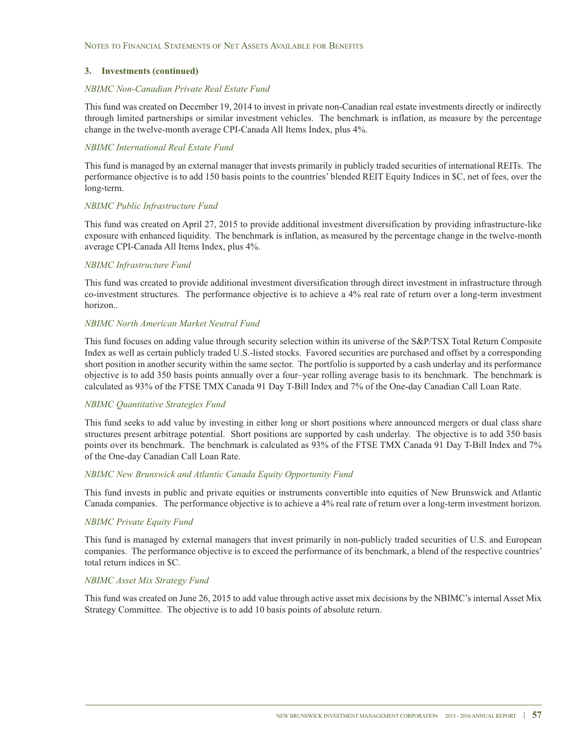#### *NBIMC Non-Canadian Private Real Estate Fund*

This fund was created on December 19, 2014 to invest in private non-Canadian real estate investments directly or indirectly through limited partnerships or similar investment vehicles. The benchmark is inflation, as measure by the percentage change in the twelve-month average CPI-Canada All Items Index, plus 4%.

#### *NBIMC International Real Estate Fund*

This fund is managed by an external manager that invests primarily in publicly traded securities of international REITs. The performance objective is to add 150 basis points to the countries' blended REIT Equity Indices in \$C, net of fees, over the long-term.

#### *NBIMC Public Infrastructure Fund*

This fund was created on April 27, 2015 to provide additional investment diversification by providing infrastructure-like exposure with enhanced liquidity. The benchmark is inflation, as measured by the percentage change in the twelve-month average CPI-Canada All Items Index, plus 4%.

#### *NBIMC Infrastructure Fund*

This fund was created to provide additional investment diversification through direct investment in infrastructure through co-investment structures. The performance objective is to achieve a 4% real rate of return over a long-term investment horizon..

#### *NBIMC North American Market Neutral Fund*

This fund focuses on adding value through security selection within its universe of the S&P/TSX Total Return Composite Index as well as certain publicly traded U.S.-listed stocks. Favored securities are purchased and offset by a corresponding short position in another security within the same sector. The portfolio is supported by a cash underlay and its performance objective is to add 350 basis points annually over a four–year rolling average basis to its benchmark. The benchmark is calculated as 93% of the FTSE TMX Canada 91 Day T-Bill Index and 7% of the One-day Canadian Call Loan Rate.

#### *NBIMC Quantitative Strategies Fund*

This fund seeks to add value by investing in either long or short positions where announced mergers or dual class share structures present arbitrage potential. Short positions are supported by cash underlay. The objective is to add 350 basis points over its benchmark. The benchmark is calculated as 93% of the FTSE TMX Canada 91 Day T-Bill Index and 7% of the One-day Canadian Call Loan Rate.

#### *NBIMC New Brunswick and Atlantic Canada Equity Opportunity Fund*

This fund invests in public and private equities or instruments convertible into equities of New Brunswick and Atlantic Canada companies. The performance objective is to achieve a 4% real rate of return over a long-term investment horizon.

#### *NBIMC Private Equity Fund*

This fund is managed by external managers that invest primarily in non-publicly traded securities of U.S. and European companies. The performance objective is to exceed the performance of its benchmark, a blend of the respective countries' total return indices in \$C.

#### *NBIMC Asset Mix Strategy Fund*

This fund was created on June 26, 2015 to add value through active asset mix decisions by the NBIMC's internal Asset Mix Strategy Committee. The objective is to add 10 basis points of absolute return.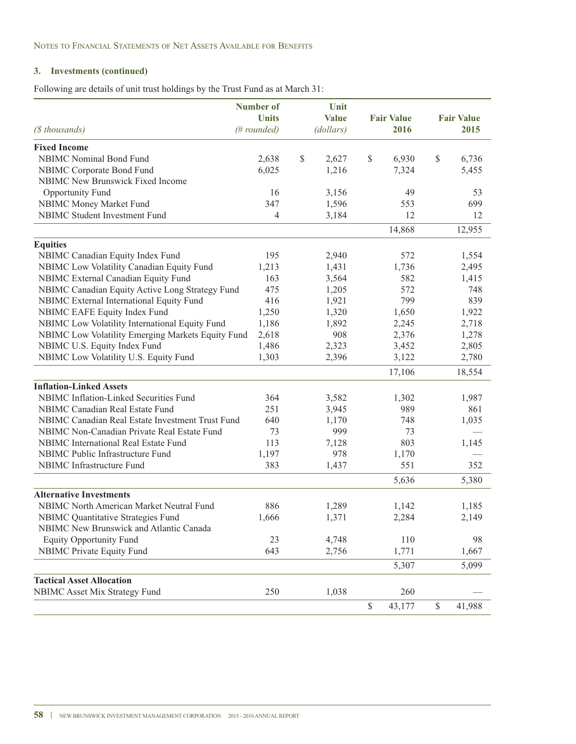Following are details of unit trust holdings by the Trust Fund as at March 31:

|                                                   | <b>Number of</b><br><b>Units</b> | Unit<br><b>Value</b> | <b>Fair Value</b> | <b>Fair Value</b> |
|---------------------------------------------------|----------------------------------|----------------------|-------------------|-------------------|
| (\$ thousands)                                    | (# rounded)                      | (dollars)            | 2016              | 2015              |
| <b>Fixed Income</b>                               |                                  |                      |                   |                   |
| <b>NBIMC</b> Nominal Bond Fund                    | 2,638                            | \$<br>2,627          | \$<br>6,930       | \$<br>6,736       |
| NBIMC Corporate Bond Fund                         | 6,025                            | 1,216                | 7,324             | 5,455             |
| NBIMC New Brunswick Fixed Income                  |                                  |                      |                   |                   |
| Opportunity Fund                                  | 16                               | 3,156                | 49                | 53                |
| NBIMC Money Market Fund                           | 347                              | 1,596                | 553               | 699               |
| NBIMC Student Investment Fund                     | 4                                | 3,184                | 12                | 12                |
|                                                   |                                  |                      | 14,868            | 12,955            |
| <b>Equities</b>                                   |                                  |                      |                   |                   |
| NBIMC Canadian Equity Index Fund                  | 195                              | 2,940                | 572               | 1,554             |
| NBIMC Low Volatility Canadian Equity Fund         | 1,213                            | 1,431                | 1,736             | 2,495             |
| NBIMC External Canadian Equity Fund               | 163                              | 3,564                | 582               | 1,415             |
| NBIMC Canadian Equity Active Long Strategy Fund   | 475                              | 1,205                | 572               | 748               |
| NBIMC External International Equity Fund          | 416                              | 1,921                | 799               | 839               |
| NBIMC EAFE Equity Index Fund                      | 1,250                            | 1,320                | 1,650             | 1,922             |
| NBIMC Low Volatility International Equity Fund    | 1,186                            | 1,892                | 2,245             | 2,718             |
| NBIMC Low Volatility Emerging Markets Equity Fund | 2,618                            | 908                  | 2,376             | 1,278             |
| NBIMC U.S. Equity Index Fund                      | 1,486                            | 2,323                | 3,452             | 2,805             |
| NBIMC Low Volatility U.S. Equity Fund             | 1,303                            | 2,396                | 3,122             | 2,780             |
|                                                   |                                  |                      | 17,106            | 18,554            |
| <b>Inflation-Linked Assets</b>                    |                                  |                      |                   |                   |
| NBIMC Inflation-Linked Securities Fund            | 364                              | 3,582                | 1,302             | 1,987             |
| NBIMC Canadian Real Estate Fund                   | 251                              | 3,945                | 989               | 861               |
| NBIMC Canadian Real Estate Investment Trust Fund  | 640                              | 1,170                | 748               | 1,035             |
| NBIMC Non-Canadian Private Real Estate Fund       | 73                               | 999                  | 73                |                   |
| NBIMC International Real Estate Fund              | 113                              | 7,128                | 803               | 1,145             |
| NBIMC Public Infrastructure Fund                  | 1,197                            | 978                  | 1,170             |                   |
| NBIMC Infrastructure Fund                         | 383                              | 1,437                | 551               | 352               |
|                                                   |                                  |                      | 5,636             | 5,380             |
| <b>Alternative Investments</b>                    |                                  |                      |                   |                   |
| NBIMC North American Market Neutral Fund          | 886                              | 1,289                | 1,142             | 1,185             |
| NBIMC Quantitative Strategies Fund                | 1,666                            | 1,371                | 2,284             | 2,149             |
| NBIMC New Brunswick and Atlantic Canada           |                                  |                      |                   |                   |
| <b>Equity Opportunity Fund</b>                    | 23                               | 4,748                | 110               | 98                |
| <b>NBIMC Private Equity Fund</b>                  | 643                              | 2,756                | 1,771             | 1,667             |
|                                                   |                                  |                      | 5,307             | 5,099             |
| <b>Tactical Asset Allocation</b>                  |                                  |                      |                   |                   |
| <b>NBIMC Asset Mix Strategy Fund</b>              | 250                              | 1,038                | 260               |                   |
|                                                   |                                  |                      | \$<br>43,177      | \$<br>41,988      |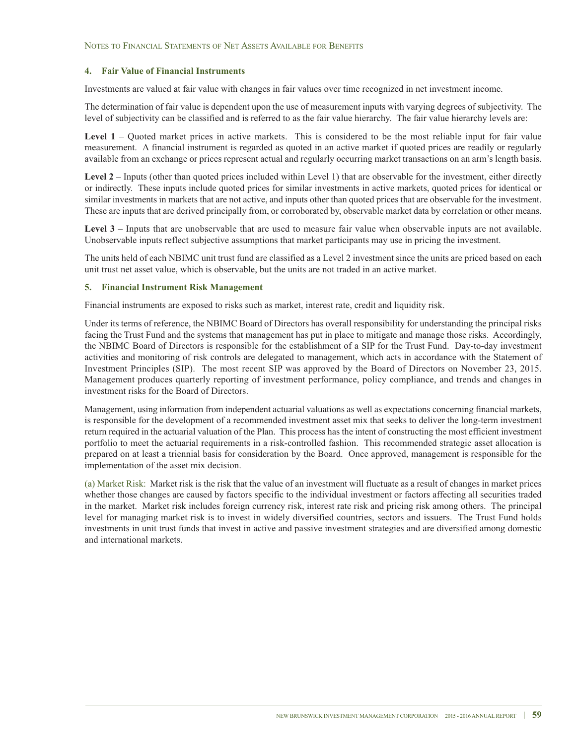#### **4. Fair Value of Financial Instruments**

Investments are valued at fair value with changes in fair values over time recognized in net investment income.

The determination of fair value is dependent upon the use of measurement inputs with varying degrees of subjectivity. The level of subjectivity can be classified and is referred to as the fair value hierarchy. The fair value hierarchy levels are:

**Level 1** – Quoted market prices in active markets. This is considered to be the most reliable input for fair value measurement. A financial instrument is regarded as quoted in an active market if quoted prices are readily or regularly available from an exchange or prices represent actual and regularly occurring market transactions on an arm's length basis.

**Level 2** – Inputs (other than quoted prices included within Level 1) that are observable for the investment, either directly or indirectly. These inputs include quoted prices for similar investments in active markets, quoted prices for identical or similar investments in markets that are not active, and inputs other than quoted prices that are observable for the investment. These are inputs that are derived principally from, or corroborated by, observable market data by correlation or other means.

**Level 3** – Inputs that are unobservable that are used to measure fair value when observable inputs are not available. Unobservable inputs reflect subjective assumptions that market participants may use in pricing the investment.

The units held of each NBIMC unit trust fund are classified as a Level 2 investment since the units are priced based on each unit trust net asset value, which is observable, but the units are not traded in an active market.

#### **5. Financial Instrument Risk Management**

Financial instruments are exposed to risks such as market, interest rate, credit and liquidity risk.

Under its terms of reference, the NBIMC Board of Directors has overall responsibility for understanding the principal risks facing the Trust Fund and the systems that management has put in place to mitigate and manage those risks. Accordingly, the NBIMC Board of Directors is responsible for the establishment of a SIP for the Trust Fund. Day-to-day investment activities and monitoring of risk controls are delegated to management, which acts in accordance with the Statement of Investment Principles (SIP). The most recent SIP was approved by the Board of Directors on November 23, 2015. Management produces quarterly reporting of investment performance, policy compliance, and trends and changes in investment risks for the Board of Directors.

Management, using information from independent actuarial valuations as well as expectations concerning financial markets, is responsible for the development of a recommended investment asset mix that seeks to deliver the long-term investment return required in the actuarial valuation of the Plan. This process has the intent of constructing the most efficient investment portfolio to meet the actuarial requirements in a risk-controlled fashion. This recommended strategic asset allocation is prepared on at least a triennial basis for consideration by the Board. Once approved, management is responsible for the implementation of the asset mix decision.

(a) Market Risk: Market risk is the risk that the value of an investment will fluctuate as a result of changes in market prices whether those changes are caused by factors specific to the individual investment or factors affecting all securities traded in the market. Market risk includes foreign currency risk, interest rate risk and pricing risk among others. The principal level for managing market risk is to invest in widely diversified countries, sectors and issuers. The Trust Fund holds investments in unit trust funds that invest in active and passive investment strategies and are diversified among domestic and international markets.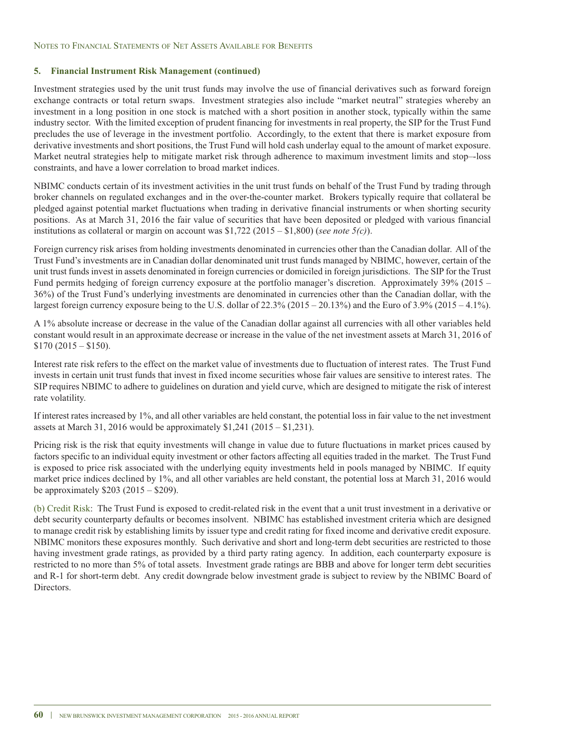#### **5. Financial Instrument Risk Management (continued)**

Investment strategies used by the unit trust funds may involve the use of financial derivatives such as forward foreign exchange contracts or total return swaps. Investment strategies also include "market neutral" strategies whereby an investment in a long position in one stock is matched with a short position in another stock, typically within the same industry sector. With the limited exception of prudent financing for investments in real property, the SIP for the Trust Fund precludes the use of leverage in the investment portfolio. Accordingly, to the extent that there is market exposure from derivative investments and short positions, the Trust Fund will hold cash underlay equal to the amount of market exposure. Market neutral strategies help to mitigate market risk through adherence to maximum investment limits and stop–-loss constraints, and have a lower correlation to broad market indices.

NBIMC conducts certain of its investment activities in the unit trust funds on behalf of the Trust Fund by trading through broker channels on regulated exchanges and in the over-the-counter market. Brokers typically require that collateral be pledged against potential market fluctuations when trading in derivative financial instruments or when shorting security positions. As at March 31, 2016 the fair value of securities that have been deposited or pledged with various financial institutions as collateral or margin on account was \$1,722 (2015 – \$1,800) (*see note 5(c)*).

Foreign currency risk arises from holding investments denominated in currencies other than the Canadian dollar. All of the Trust Fund's investments are in Canadian dollar denominated unit trust funds managed by NBIMC, however, certain of the unit trust funds invest in assets denominated in foreign currencies or domiciled in foreign jurisdictions. The SIP for the Trust Fund permits hedging of foreign currency exposure at the portfolio manager's discretion. Approximately 39% (2015 – 36%) of the Trust Fund's underlying investments are denominated in currencies other than the Canadian dollar, with the largest foreign currency exposure being to the U.S. dollar of 22.3% (2015 – 20.13%) and the Euro of 3.9% (2015 – 4.1%).

A 1% absolute increase or decrease in the value of the Canadian dollar against all currencies with all other variables held constant would result in an approximate decrease or increase in the value of the net investment assets at March 31, 2016 of  $$170 (2015 - $150).$ 

Interest rate risk refers to the effect on the market value of investments due to fluctuation of interest rates. The Trust Fund invests in certain unit trust funds that invest in fixed income securities whose fair values are sensitive to interest rates. The SIP requires NBIMC to adhere to guidelines on duration and yield curve, which are designed to mitigate the risk of interest rate volatility.

If interest rates increased by 1%, and all other variables are held constant, the potential loss in fair value to the net investment assets at March 31, 2016 would be approximately \$1,241 (2015 – \$1,231).

Pricing risk is the risk that equity investments will change in value due to future fluctuations in market prices caused by factors specific to an individual equity investment or other factors affecting all equities traded in the market. The Trust Fund is exposed to price risk associated with the underlying equity investments held in pools managed by NBIMC. If equity market price indices declined by 1%, and all other variables are held constant, the potential loss at March 31, 2016 would be approximately \$203 (2015 – \$209).

(b) Credit Risk: The Trust Fund is exposed to credit-related risk in the event that a unit trust investment in a derivative or debt security counterparty defaults or becomes insolvent. NBIMC has established investment criteria which are designed to manage credit risk by establishing limits by issuer type and credit rating for fixed income and derivative credit exposure. NBIMC monitors these exposures monthly. Such derivative and short and long-term debt securities are restricted to those having investment grade ratings, as provided by a third party rating agency. In addition, each counterparty exposure is restricted to no more than 5% of total assets. Investment grade ratings are BBB and above for longer term debt securities and R-1 for short-term debt. Any credit downgrade below investment grade is subject to review by the NBIMC Board of Directors.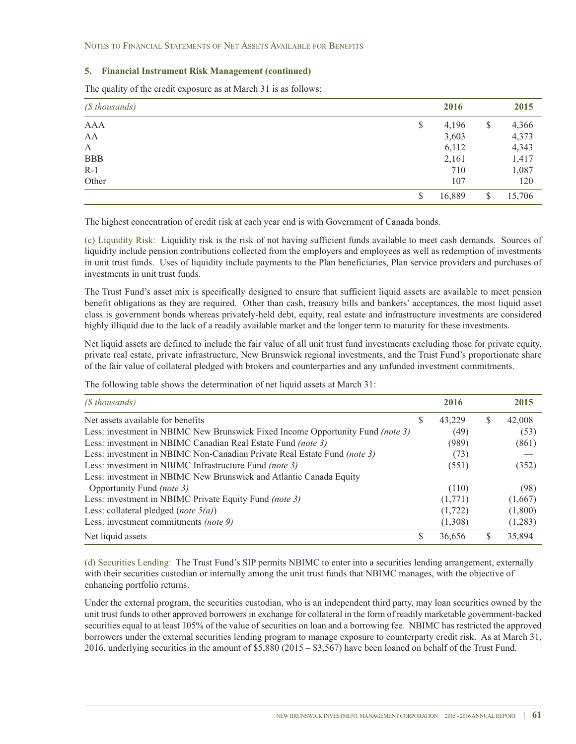#### **5. Financial Instrument Risk Management (continued)**

The quality of the credit exposure as at March 31 is as follows:

| $(S$ thousands) | 2016         | 2015         |
|-----------------|--------------|--------------|
| <b>AAA</b>      | \$<br>4,196  | \$<br>4,366  |
| AA              | 3,603        | 4,373        |
| $\mathbf{A}$    | 6,112        | 4,343        |
| <b>BBB</b>      | 2,161        | 1,417        |
| $R-1$           | 710          | 1,087        |
| Other           | 107          | 120          |
|                 | 16,889<br>\$ | \$<br>15,706 |

The highest concentration of credit risk at each year end is with Government of Canada bonds.

(c) Liquidity Risk: Liquidity risk is the risk of not having sufficient funds available to meet cash demands. Sources of liquidity include pension contributions collected from the employers and employees as well as redemption of investments in unit trust funds. Uses of liquidity include payments to the Plan beneficiaries, Plan service providers and purchases of investments in unit trust funds.

The Trust Fund's asset mix is specifically designed to ensure that sufficient liquid assets are available to meet pension benefit obligations as they are required. Other than cash, treasury bills and bankers' acceptances, the most liquid asset class is government bonds whereas privately-held debt, equity, real estate and infrastructure investments are considered highly illiquid due to the lack of a readily available market and the longer term to maturity for these investments.

Net liquid assets are defined to include the fair value of all unit trust fund investments excluding those for private equity, private real estate, private infrastructure, New Brunswick regional investments, and the Trust Fund's proportionate share of the fair value of collateral pledged with brokers and counterparties and any unfunded investment commitments.

The following table shows the determination of net liquid assets at March 31:

| (\$ thousands)                                                                 |   | 2016    |   | 2015    |
|--------------------------------------------------------------------------------|---|---------|---|---------|
| Net assets available for benefits                                              | S | 43,229  | S | 42,008  |
| Less: investment in NBIMC New Brunswick Fixed Income Opportunity Fund (note 3) |   | (49)    |   | (53)    |
| Less: investment in NBIMC Canadian Real Estate Fund (note 3)                   |   | (989)   |   | (861)   |
| Less: investment in NBIMC Non-Canadian Private Real Estate Fund (note 3)       |   | (73)    |   |         |
| Less: investment in NBIMC Infrastructure Fund (note 3)                         |   | (551)   |   | (352)   |
| Less: investment in NBIMC New Brunswick and Atlantic Canada Equity             |   |         |   |         |
| Opportunity Fund (note 3)                                                      |   | (110)   |   | (98)    |
| Less: investment in NBIMC Private Equity Fund (note 3)                         |   | (1,771) |   | (1,667) |
| Less: collateral pledged (note $5(a)$ )                                        |   | (1,722) |   | (1,800) |
| Less: investment commitments (note 9)                                          |   | (1,308) |   | (1,283) |
| Net liquid assets                                                              |   | 36,656  | S | 35,894  |

(d) Securities Lending: The Trust Fund's SIP permits NBIMC to enter into a securities lending arrangement, externally with their securities custodian or internally among the unit trust funds that NBIMC manages, with the objective of enhancing portfolio returns.

Under the external program, the securities custodian, who is an independent third party, may loan securities owned by the unit trust funds to other approved borrowers in exchange for collateral in the form of readily marketable government-backed securities equal to at least 105% of the value of securities on loan and a borrowing fee. NBIMC has restricted the approved borrowers under the external securities lending program to manage exposure to counterparty credit risk. As at March 31, 2016, underlying securities in the amount of  $$5,880 (2015 - $3,567)$  have been loaned on behalf of the Trust Fund.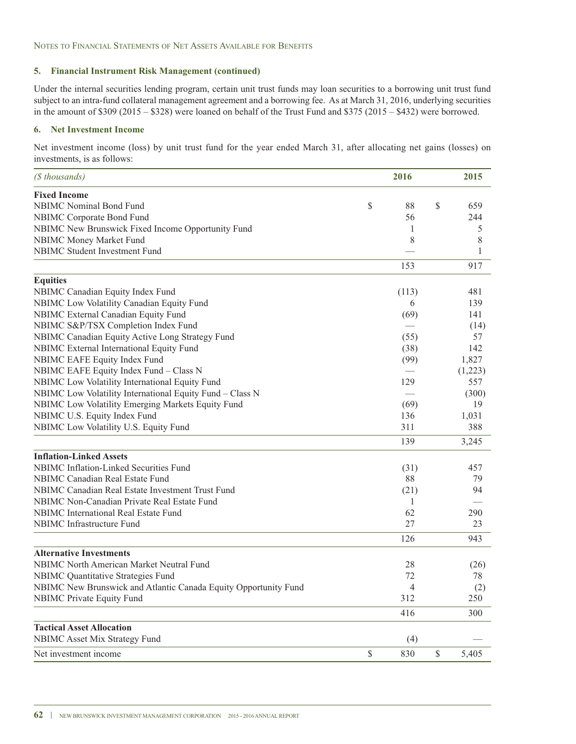#### **5. Financial Instrument Risk Management (continued)**

Under the internal securities lending program, certain unit trust funds may loan securities to a borrowing unit trust fund subject to an intra-fund collateral management agreement and a borrowing fee. As at March 31, 2016, underlying securities in the amount of \$309 (2015 – \$328) were loaned on behalf of the Trust Fund and \$375 (2015 – \$432) were borrowed.

#### **6. Net Investment Income**

Net investment income (loss) by unit trust fund for the year ended March 31, after allocating net gains (losses) on investments, is as follows:

| (\$ thousands)                                                  | 2016                            | 2015        |
|-----------------------------------------------------------------|---------------------------------|-------------|
| <b>Fixed Income</b>                                             |                                 |             |
| <b>NBIMC</b> Nominal Bond Fund                                  | \$<br>88                        | \$<br>659   |
| NBIMC Corporate Bond Fund                                       | 56                              | 244         |
| NBIMC New Brunswick Fixed Income Opportunity Fund               | 1                               | 5           |
| NBIMC Money Market Fund                                         | 8                               | 8           |
| NBIMC Student Investment Fund                                   |                                 | 1           |
|                                                                 | 153                             | 917         |
| <b>Equities</b>                                                 |                                 |             |
| NBIMC Canadian Equity Index Fund                                | (113)                           | 481         |
| NBIMC Low Volatility Canadian Equity Fund                       | 6                               | 139         |
| NBIMC External Canadian Equity Fund                             | (69)                            | 141         |
| NBIMC S&P/TSX Completion Index Fund                             |                                 | (14)        |
| NBIMC Canadian Equity Active Long Strategy Fund                 | (55)                            | 57          |
| NBIMC External International Equity Fund                        | (38)                            | 142         |
| NBIMC EAFE Equity Index Fund                                    | (99)                            | 1,827       |
| NBIMC EAFE Equity Index Fund - Class N                          | $\hspace{0.1mm}-\hspace{0.1mm}$ | (1,223)     |
| NBIMC Low Volatility International Equity Fund                  | 129                             | 557         |
| NBIMC Low Volatility International Equity Fund - Class N        |                                 | (300)       |
| NBIMC Low Volatility Emerging Markets Equity Fund               | (69)                            | 19          |
| NBIMC U.S. Equity Index Fund                                    | 136                             | 1,031       |
| NBIMC Low Volatility U.S. Equity Fund                           | 311                             | 388         |
|                                                                 | 139                             | 3,245       |
| <b>Inflation-Linked Assets</b>                                  |                                 |             |
| NBIMC Inflation-Linked Securities Fund                          | (31)                            | 457         |
| NBIMC Canadian Real Estate Fund                                 | 88                              | 79          |
| NBIMC Canadian Real Estate Investment Trust Fund                | (21)                            | 94          |
| NBIMC Non-Canadian Private Real Estate Fund                     | 1                               |             |
| NBIMC International Real Estate Fund                            | 62                              | 290         |
| NBIMC Infrastructure Fund                                       | 27                              | 23          |
|                                                                 | 126                             | 943         |
| <b>Alternative Investments</b>                                  |                                 |             |
| NBIMC North American Market Neutral Fund                        | 28                              | (26)        |
| <b>NBIMC Quantitative Strategies Fund</b>                       | 72                              | 78          |
| NBIMC New Brunswick and Atlantic Canada Equity Opportunity Fund | $\overline{4}$                  | (2)         |
| NBIMC Private Equity Fund                                       | 312                             | 250         |
|                                                                 | 416                             | 300         |
| <b>Tactical Asset Allocation</b>                                |                                 |             |
| NBIMC Asset Mix Strategy Fund                                   | (4)                             |             |
| Net investment income                                           | \$<br>830                       | \$<br>5,405 |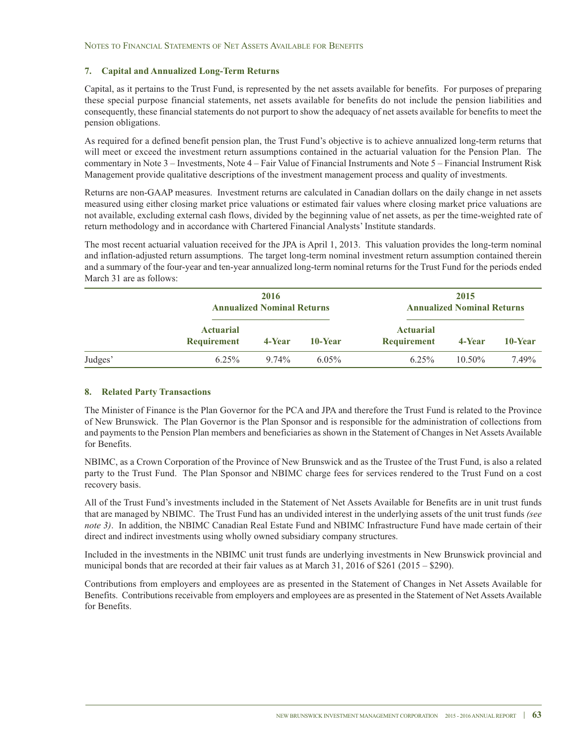#### **7. Capital and Annualized Long-Term Returns**

Capital, as it pertains to the Trust Fund, is represented by the net assets available for benefits. For purposes of preparing these special purpose financial statements, net assets available for benefits do not include the pension liabilities and consequently, these financial statements do not purport to show the adequacy of net assets available for benefits to meet the pension obligations.

As required for a defined benefit pension plan, the Trust Fund's objective is to achieve annualized long-term returns that will meet or exceed the investment return assumptions contained in the actuarial valuation for the Pension Plan. The commentary in Note 3 – Investments, Note 4 – Fair Value of Financial Instruments and Note 5 – Financial Instrument Risk Management provide qualitative descriptions of the investment management process and quality of investments.

Returns are non-GAAP measures. Investment returns are calculated in Canadian dollars on the daily change in net assets measured using either closing market price valuations or estimated fair values where closing market price valuations are not available, excluding external cash flows, divided by the beginning value of net assets, as per the time-weighted rate of return methodology and in accordance with Chartered Financial Analysts' Institute standards.

The most recent actuarial valuation received for the JPA is April 1, 2013. This valuation provides the long-term nominal and inflation-adjusted return assumptions. The target long-term nominal investment return assumption contained therein and a summary of the four-year and ten-year annualized long-term nominal returns for the Trust Fund for the periods ended March 31 are as follows:

|         |                                        | 2016<br><b>Annualized Nominal Returns</b> |          |                                        | 2015<br><b>Annualized Nominal Returns</b> |         |
|---------|----------------------------------------|-------------------------------------------|----------|----------------------------------------|-------------------------------------------|---------|
|         | <b>Actuarial</b><br><b>Requirement</b> | 4-Year                                    | 10-Year  | <b>Actuarial</b><br><b>Requirement</b> | 4-Year                                    | 10-Year |
| Judges' | $6.25\%$                               | $9.74\%$                                  | $6.05\%$ | $6.25\%$                               | $10.50\%$                                 | 7.49%   |

#### **8. Related Party Transactions**

The Minister of Finance is the Plan Governor for the PCA and JPA and therefore the Trust Fund is related to the Province of New Brunswick. The Plan Governor is the Plan Sponsor and is responsible for the administration of collections from and payments to the Pension Plan members and beneficiaries as shown in the Statement of Changes in Net Assets Available for Benefits.

NBIMC, as a Crown Corporation of the Province of New Brunswick and as the Trustee of the Trust Fund, is also a related party to the Trust Fund. The Plan Sponsor and NBIMC charge fees for services rendered to the Trust Fund on a cost recovery basis.

All of the Trust Fund's investments included in the Statement of Net Assets Available for Benefits are in unit trust funds that are managed by NBIMC. The Trust Fund has an undivided interest in the underlying assets of the unit trust funds *(see note 3)*. In addition, the NBIMC Canadian Real Estate Fund and NBIMC Infrastructure Fund have made certain of their direct and indirect investments using wholly owned subsidiary company structures.

Included in the investments in the NBIMC unit trust funds are underlying investments in New Brunswick provincial and municipal bonds that are recorded at their fair values as at March 31, 2016 of \$261 (2015 – \$290).

Contributions from employers and employees are as presented in the Statement of Changes in Net Assets Available for Benefits. Contributions receivable from employers and employees are as presented in the Statement of Net Assets Available for Benefits.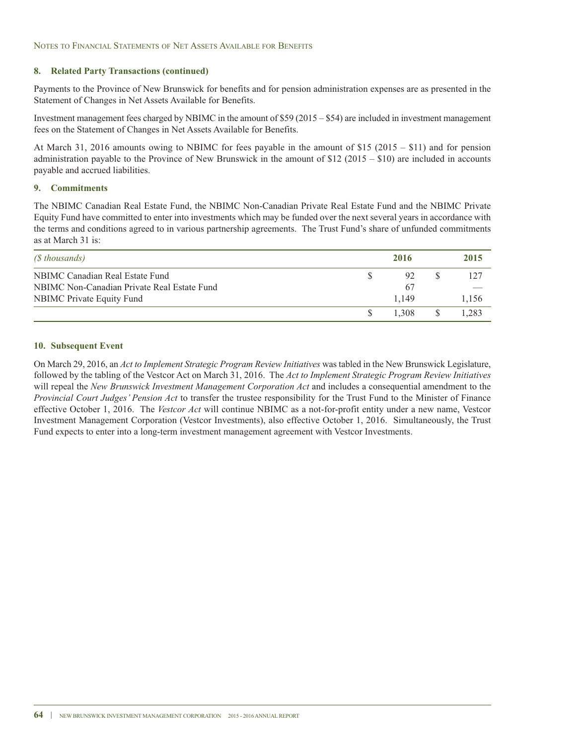NOTES TO FINANCIAL STATEMENTS OF NET ASSETS AVAILABLE FOR BENEFITS

#### **8. Related Party Transactions (continued)**

Payments to the Province of New Brunswick for benefits and for pension administration expenses are as presented in the Statement of Changes in Net Assets Available for Benefits.

Investment management fees charged by NBIMC in the amount of \$59 (2015 – \$54) are included in investment management fees on the Statement of Changes in Net Assets Available for Benefits.

At March 31, 2016 amounts owing to NBIMC for fees payable in the amount of \$15 (2015 – \$11) and for pension administration payable to the Province of New Brunswick in the amount of  $$12$  (2015 – \$10) are included in accounts payable and accrued liabilities.

#### **9. Commitments**

The NBIMC Canadian Real Estate Fund, the NBIMC Non-Canadian Private Real Estate Fund and the NBIMC Private Equity Fund have committed to enter into investments which may be funded over the next several years in accordance with the terms and conditions agreed to in various partnership agreements. The Trust Fund's share of unfunded commitments as at March 31 is:

| (\$ thousands)                              | 2016  |   | 2015  |
|---------------------------------------------|-------|---|-------|
| NBIMC Canadian Real Estate Fund             | 92    |   | 127   |
| NBIMC Non-Canadian Private Real Estate Fund | -67   |   |       |
| <b>NBIMC</b> Private Equity Fund            | 1.149 |   | 1.156 |
|                                             | 1.308 | S | 1.283 |

#### **10. Subsequent Event**

On March 29, 2016, an *Act to Implement Strategic Program Review Initiatives* was tabled in the New Brunswick Legislature, followed by the tabling of the Vestcor Act on March 31, 2016. The *Act to Implement Strategic Program Review Initiatives* will repeal the *New Brunswick Investment Management Corporation Act* and includes a consequential amendment to the *Provincial Court Judges' Pension Act* to transfer the trustee responsibility for the Trust Fund to the Minister of Finance effective October 1, 2016. The *Vestcor Act* will continue NBIMC as a not-for-profit entity under a new name, Vestcor Investment Management Corporation (Vestcor Investments), also effective October 1, 2016. Simultaneously, the Trust Fund expects to enter into a long-term investment management agreement with Vestcor Investments.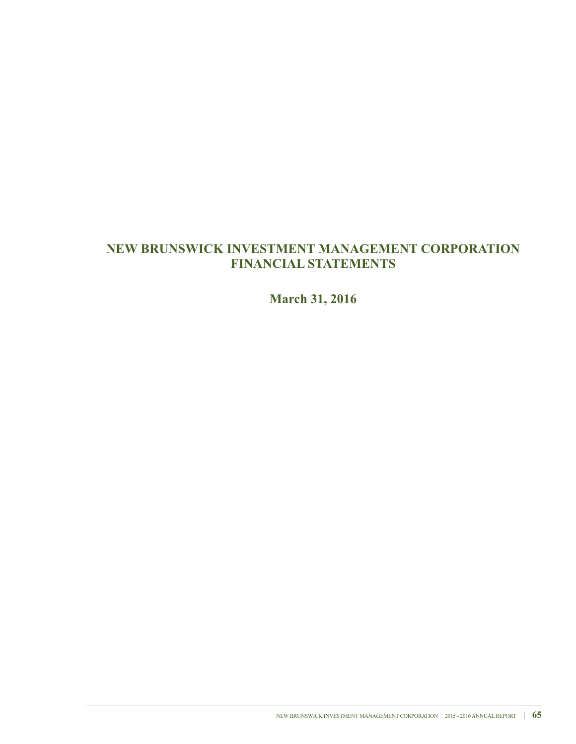## **NEW BRUNSWICK INVESTMENT MANAGEMENT CORPORATION FINANCIAL STATEMENTS**

**March 31, 2016**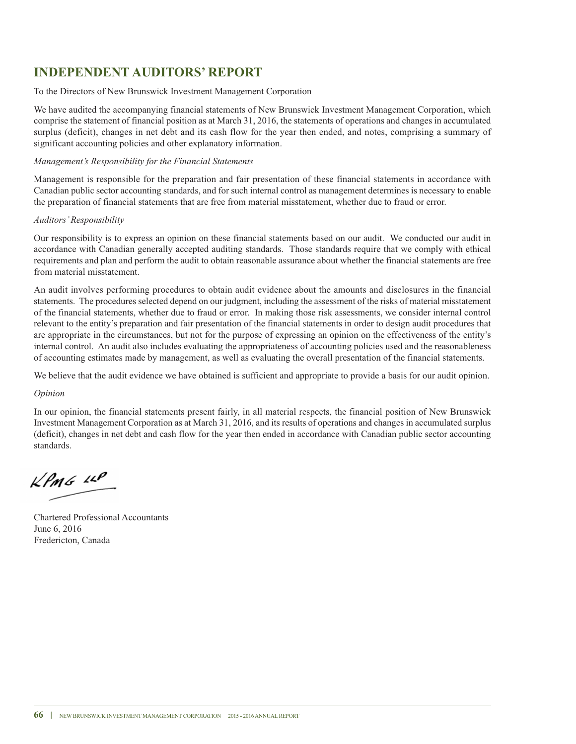## **INDEPENDENT AUDITORS' REPORT**

#### To the Directors of New Brunswick Investment Management Corporation

We have audited the accompanying financial statements of New Brunswick Investment Management Corporation, which comprise the statement of financial position as at March 31, 2016, the statements of operations and changes in accumulated surplus (deficit), changes in net debt and its cash flow for the year then ended, and notes, comprising a summary of significant accounting policies and other explanatory information.

#### *Management's Responsibility for the Financial Statements*

Management is responsible for the preparation and fair presentation of these financial statements in accordance with Canadian public sector accounting standards, and for such internal control as management determines is necessary to enable the preparation of financial statements that are free from material misstatement, whether due to fraud or error.

#### *Auditors'Responsibility*

Our responsibility is to express an opinion on these financial statements based on our audit. We conducted our audit in accordance with Canadian generally accepted auditing standards. Those standards require that we comply with ethical requirements and plan and perform the audit to obtain reasonable assurance about whether the financial statements are free from material misstatement.

An audit involves performing procedures to obtain audit evidence about the amounts and disclosures in the financial statements. The procedures selected depend on our judgment, including the assessment of the risks of material misstatement of the financial statements, whether due to fraud or error. In making those risk assessments, we consider internal control relevant to the entity's preparation and fair presentation of the financial statements in order to design audit procedures that are appropriate in the circumstances, but not for the purpose of expressing an opinion on the effectiveness of the entity's internal control. An audit also includes evaluating the appropriateness of accounting policies used and the reasonableness of accounting estimates made by management, as well as evaluating the overall presentation of the financial statements.

We believe that the audit evidence we have obtained is sufficient and appropriate to provide a basis for our audit opinion.

#### *Opinion*

In our opinion, the financial statements present fairly, in all material respects, the financial position of New Brunswick Investment Management Corporation as at March 31, 2016, and its results of operations and changes in accumulated surplus (deficit), changes in net debt and cash flow for the year then ended in accordance with Canadian public sector accounting standards.

 $k$ *PMG*  $44$ 

Chartered Professional Accountants June 6, 2016 Fredericton, Canada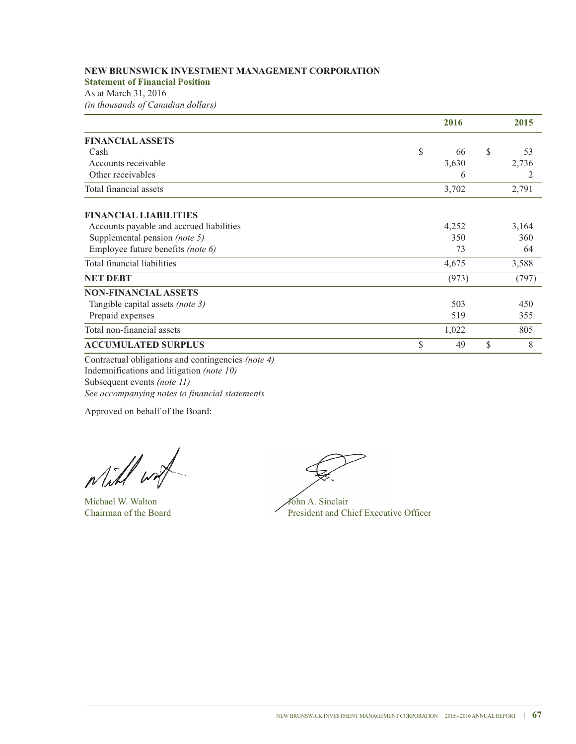#### **NEW BRUNSWICK INVESTMENT MANAGEMENT CORPORATION**

**Statement of Financial Position**

As at March 31, 2016 *(in thousands of Canadian dollars)*

|                                          |    | 2016  |    | 2015  |
|------------------------------------------|----|-------|----|-------|
| <b>FINANCIAL ASSETS</b>                  |    |       |    |       |
| Cash                                     | S  | 66    | S  | 53    |
| Accounts receivable                      |    | 3,630 |    | 2,736 |
| Other receivables                        |    | 6     |    | 2     |
| Total financial assets                   |    | 3,702 |    | 2,791 |
| <b>FINANCIAL LIABILITIES</b>             |    |       |    |       |
| Accounts payable and accrued liabilities |    | 4,252 |    | 3,164 |
| Supplemental pension (note 5)            |    | 350   |    | 360   |
| Employee future benefits (note 6)        |    | 73    |    | 64    |
| Total financial liabilities              |    | 4,675 |    | 3,588 |
| <b>NET DEBT</b>                          |    | (973) |    | (797) |
| <b>NON-FINANCIAL ASSETS</b>              |    |       |    |       |
| Tangible capital assets (note 3)         |    | 503   |    | 450   |
| Prepaid expenses                         |    | 519   |    | 355   |
| Total non-financial assets               |    | 1,022 |    | 805   |
| <b>ACCUMULATED SURPLUS</b>               | \$ | 49    | \$ | 8     |

Contractual obligations and contingencies *(note 4)* Indemnifications and litigation *(note 10)* Subsequent events *(note 11) See accompanying notes to financial statements*

Approved on behalf of the Board:

With work

Michael W. Walton Chairman of the Board President and Chairman of the Board

President and Chief Executive Officer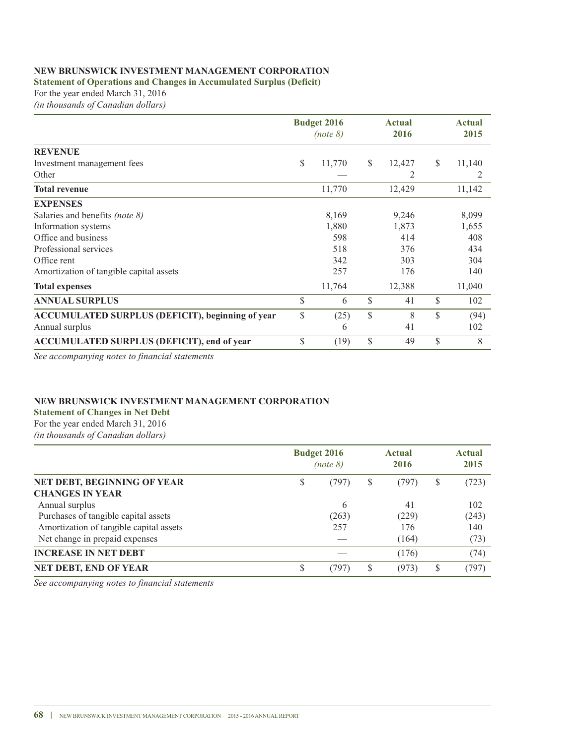### **NEW BRUNSWICK INVESTMENT MANAGEMENT CORPORATION**

**Statement of Operations and Changes in Accumulated Surplus (Deficit)**

For the year ended March 31, 2016

*(in thousands of Canadian dollars)*

|                                                         | <b>Budget 2016</b><br>(note 8) | <b>Actual</b><br>2016 | <b>Actual</b><br>2015 |
|---------------------------------------------------------|--------------------------------|-----------------------|-----------------------|
| <b>REVENUE</b>                                          |                                |                       |                       |
| Investment management fees                              | \$<br>11,770                   | \$<br>12,427          | \$<br>11,140          |
| Other                                                   |                                | 2                     |                       |
| <b>Total revenue</b>                                    | 11,770                         | 12,429                | 11,142                |
| <b>EXPENSES</b>                                         |                                |                       |                       |
| Salaries and benefits <i>(note 8)</i>                   | 8,169                          | 9,246                 | 8,099                 |
| Information systems                                     | 1,880                          | 1,873                 | 1,655                 |
| Office and business                                     | 598                            | 414                   | 408                   |
| Professional services                                   | 518                            | 376                   | 434                   |
| Office rent                                             | 342                            | 303                   | 304                   |
| Amortization of tangible capital assets                 | 257                            | 176                   | 140                   |
| <b>Total expenses</b>                                   | 11,764                         | 12,388                | 11,040                |
| <b>ANNUAL SURPLUS</b>                                   | \$<br>6                        | \$<br>41              | \$<br>102             |
| <b>ACCUMULATED SURPLUS (DEFICIT), beginning of year</b> | \$<br>(25)                     | \$<br>8               | \$<br>(94)            |
| Annual surplus                                          | 6                              | 41                    | 102                   |
| <b>ACCUMULATED SURPLUS (DEFICIT), end of year</b>       | \$<br>(19)                     | \$<br>49              | \$<br>8               |

*See accompanying notes to financial statements*

#### **NEW BRUNSWICK INVESTMENT MANAGEMENT CORPORATION**

**Statement of Changes in Net Debt** For the year ended March 31, 2016 *(in thousands of Canadian dollars)*

|                                         |   | <b>Budget 2016</b><br>(note 8) |   | Actual<br>2016 |    | <b>Actual</b><br>2015 |
|-----------------------------------------|---|--------------------------------|---|----------------|----|-----------------------|
| <b>NET DEBT, BEGINNING OF YEAR</b>      | S | (797)                          | S | (797)          | S  | (723)                 |
| <b>CHANGES IN YEAR</b>                  |   |                                |   |                |    |                       |
| Annual surplus                          |   | 6                              |   | 41             |    | 102                   |
| Purchases of tangible capital assets    |   | (263)                          |   | (229)          |    | (243)                 |
| Amortization of tangible capital assets |   | 257                            |   | 176            |    | 140                   |
| Net change in prepaid expenses          |   |                                |   | (164)          |    | (73)                  |
| <b>INCREASE IN NET DEBT</b>             |   |                                |   | (176)          |    | (74)                  |
| NET DEBT, END OF YEAR                   | S | (797)                          | S | (973)          | \$ | (797)                 |

*See accompanying notes to financial statements*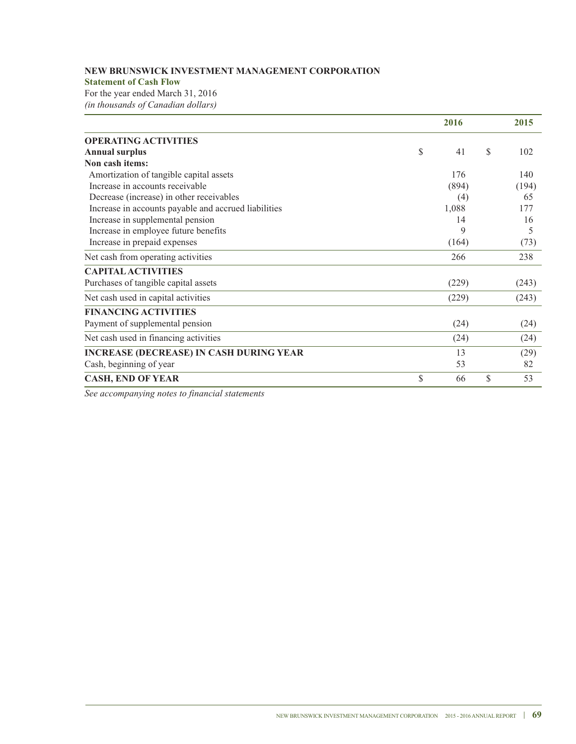#### **NEW BRUNSWICK INVESTMENT MANAGEMENT CORPORATION**

#### **Statement of Cash Flow**

For the year ended March 31, 2016 *(in thousands of Canadian dollars)*

|                                                      |    | 2016  |    | 2015  |
|------------------------------------------------------|----|-------|----|-------|
| <b>OPERATING ACTIVITIES</b>                          |    |       |    |       |
| <b>Annual surplus</b>                                | \$ | 41    | \$ | 102   |
| Non cash items:                                      |    |       |    |       |
| Amortization of tangible capital assets              |    | 176   |    | 140   |
| Increase in accounts receivable                      |    | (894) |    | (194) |
| Decrease (increase) in other receivables             |    | (4)   |    | 65    |
| Increase in accounts payable and accrued liabilities |    | 1,088 |    | 177   |
| Increase in supplemental pension                     |    | 14    |    | 16    |
| Increase in employee future benefits                 |    | 9     |    | 5     |
| Increase in prepaid expenses                         |    | (164) |    | (73)  |
| Net cash from operating activities                   |    | 266   |    | 238   |
| <b>CAPITAL ACTIVITIES</b>                            |    |       |    |       |
| Purchases of tangible capital assets                 |    | (229) |    | (243) |
| Net cash used in capital activities                  |    | (229) |    | (243) |
| <b>FINANCING ACTIVITIES</b>                          |    |       |    |       |
| Payment of supplemental pension                      |    | (24)  |    | (24)  |
| Net cash used in financing activities                |    | (24)  |    | (24)  |
| <b>INCREASE (DECREASE) IN CASH DURING YEAR</b>       |    | 13    |    | (29)  |
| Cash, beginning of year                              |    | 53    |    | 82    |
| <b>CASH, END OF YEAR</b>                             | S  | 66    | S  | 53    |

*See accompanying notes to financial statements*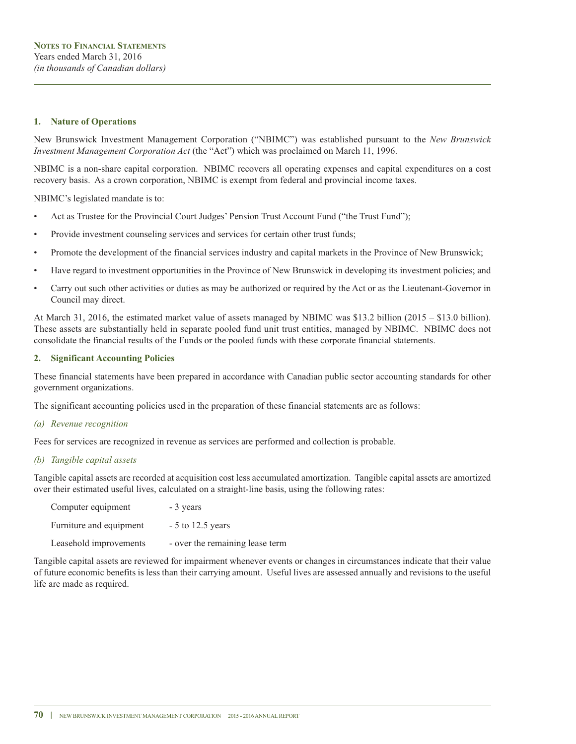#### **1. Nature of Operations**

New Brunswick Investment Management Corporation ("NBIMC") was established pursuant to the *New Brunswick Investment Management Corporation Act* (the "Act") which was proclaimed on March 11, 1996.

NBIMC is a non-share capital corporation. NBIMC recovers all operating expenses and capital expenditures on a cost recovery basis. As a crown corporation, NBIMC is exempt from federal and provincial income taxes.

NBIMC's legislated mandate is to:

- Act as Trustee for the Provincial Court Judges' Pension Trust Account Fund ("the Trust Fund");
- Provide investment counseling services and services for certain other trust funds;
- Promote the development of the financial services industry and capital markets in the Province of New Brunswick;
- Have regard to investment opportunities in the Province of New Brunswick in developing its investment policies; and
- Carry out such other activities or duties as may be authorized or required by the Act or as the Lieutenant-Governor in Council may direct.

At March 31, 2016, the estimated market value of assets managed by NBIMC was \$13.2 billion (2015 – \$13.0 billion). These assets are substantially held in separate pooled fund unit trust entities, managed by NBIMC. NBIMC does not consolidate the financial results of the Funds or the pooled funds with these corporate financial statements.

#### **2. Significant Accounting Policies**

These financial statements have been prepared in accordance with Canadian public sector accounting standards for other government organizations.

The significant accounting policies used in the preparation of these financial statements are as follows:

#### *(a) Revenue recognition*

Fees for services are recognized in revenue as services are performed and collection is probable.

#### *(b) Tangible capital assets*

Tangible capital assets are recorded at acquisition cost less accumulated amortization. Tangible capital assets are amortized over their estimated useful lives, calculated on a straight-line basis, using the following rates:

| Computer equipment      | - 3 years                       |
|-------------------------|---------------------------------|
| Furniture and equipment | $-5$ to 12.5 years              |
| Leasehold improvements  | - over the remaining lease term |

Tangible capital assets are reviewed for impairment whenever events or changes in circumstances indicate that their value of future economic benefits is less than their carrying amount. Useful lives are assessed annually and revisions to the useful life are made as required.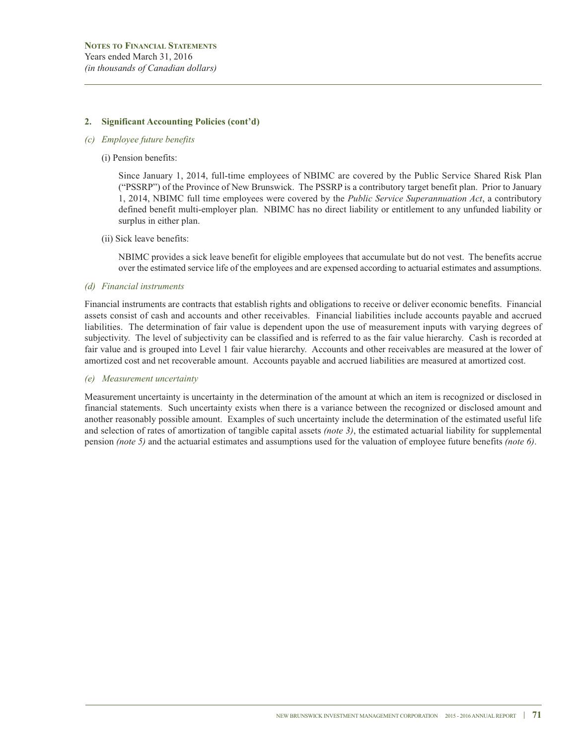#### **2. Significant Accounting Policies (cont'd)**

#### *(c) Employee future benefits*

(i) Pension benefits:

Since January 1, 2014, full-time employees of NBIMC are covered by the Public Service Shared Risk Plan ("PSSRP") of the Province of New Brunswick. The PSSRP is a contributory target benefit plan. Prior to January 1, 2014, NBIMC full time employees were covered by the *Public Service Superannuation Act*, a contributory defined benefit multi-employer plan. NBIMC has no direct liability or entitlement to any unfunded liability or surplus in either plan.

(ii) Sick leave benefits:

NBIMC provides a sick leave benefit for eligible employees that accumulate but do not vest. The benefits accrue over the estimated service life of the employees and are expensed according to actuarial estimates and assumptions.

*(d) Financial instruments*

Financial instruments are contracts that establish rights and obligations to receive or deliver economic benefits. Financial assets consist of cash and accounts and other receivables. Financial liabilities include accounts payable and accrued liabilities. The determination of fair value is dependent upon the use of measurement inputs with varying degrees of subjectivity. The level of subjectivity can be classified and is referred to as the fair value hierarchy. Cash is recorded at fair value and is grouped into Level 1 fair value hierarchy. Accounts and other receivables are measured at the lower of amortized cost and net recoverable amount. Accounts payable and accrued liabilities are measured at amortized cost.

*(e) Measurement uncertainty*

Measurement uncertainty is uncertainty in the determination of the amount at which an item is recognized or disclosed in financial statements. Such uncertainty exists when there is a variance between the recognized or disclosed amount and another reasonably possible amount. Examples of such uncertainty include the determination of the estimated useful life and selection of rates of amortization of tangible capital assets *(note 3)*, the estimated actuarial liability for supplemental pension *(note 5)* and the actuarial estimates and assumptions used for the valuation of employee future benefits *(note 6)*.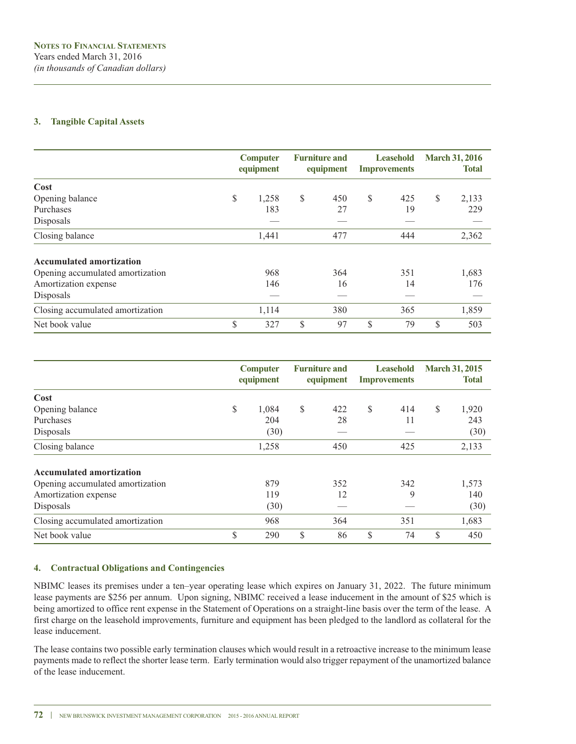#### **3. Tangible Capital Assets**

|                                  | <b>Computer</b><br>equipment |    | <b>Furniture and</b><br>equipment |    | <b>Leasehold</b><br><b>Improvements</b> | <b>March 31, 2016</b><br><b>Total</b> |
|----------------------------------|------------------------------|----|-----------------------------------|----|-----------------------------------------|---------------------------------------|
| Cost                             |                              |    |                                   |    |                                         |                                       |
| Opening balance                  | \$<br>1,258                  | \$ | 450                               | S  | 425                                     | \$<br>2,133                           |
| Purchases                        | 183                          |    | 27                                |    | 19                                      | 229                                   |
| Disposals                        |                              |    |                                   |    |                                         |                                       |
| Closing balance                  | 1,441                        |    | 477                               |    | 444                                     | 2,362                                 |
| <b>Accumulated amortization</b>  |                              |    |                                   |    |                                         |                                       |
| Opening accumulated amortization | 968                          |    | 364                               |    | 351                                     | 1,683                                 |
| Amortization expense             | 146                          |    | 16                                |    | 14                                      | 176                                   |
| Disposals                        |                              |    |                                   |    |                                         |                                       |
| Closing accumulated amortization | 1,114                        |    | 380                               |    | 365                                     | 1,859                                 |
| Net book value                   | \$<br>327                    | S  | 97                                | \$ | 79                                      | \$<br>503                             |

|                                  | <b>Computer</b><br>equipment | <b>Furniture and</b><br>equipment |   | <b>Leasehold</b><br><b>Improvements</b> | <b>March 31, 2015</b><br><b>Total</b> |
|----------------------------------|------------------------------|-----------------------------------|---|-----------------------------------------|---------------------------------------|
| Cost                             |                              |                                   |   |                                         |                                       |
| Opening balance                  | \$<br>1,084                  | \$<br>422                         | S | 414                                     | \$<br>1,920                           |
| Purchases                        | 204                          | 28                                |   | 11                                      | 243                                   |
| Disposals                        | (30)                         |                                   |   |                                         | (30)                                  |
| Closing balance                  | 1,258                        | 450                               |   | 425                                     | 2,133                                 |
| <b>Accumulated amortization</b>  |                              |                                   |   |                                         |                                       |
| Opening accumulated amortization | 879                          | 352                               |   | 342                                     | 1,573                                 |
| Amortization expense             | 119                          | 12                                |   | 9                                       | 140                                   |
| Disposals                        | (30)                         |                                   |   |                                         | (30)                                  |
| Closing accumulated amortization | 968                          | 364                               |   | 351                                     | 1,683                                 |
| Net book value                   | \$<br>290                    | \$<br>86                          | S | 74                                      | \$<br>450                             |

#### **4. Contractual Obligations and Contingencies**

NBIMC leases its premises under a ten–year operating lease which expires on January 31, 2022. The future minimum lease payments are \$256 per annum. Upon signing, NBIMC received a lease inducement in the amount of \$25 which is being amortized to office rent expense in the Statement of Operations on a straight-line basis over the term of the lease. A first charge on the leasehold improvements, furniture and equipment has been pledged to the landlord as collateral for the lease inducement.

The lease contains two possible early termination clauses which would result in a retroactive increase to the minimum lease payments made to reflect the shorter lease term. Early termination would also trigger repayment of the unamortized balance of the lease inducement.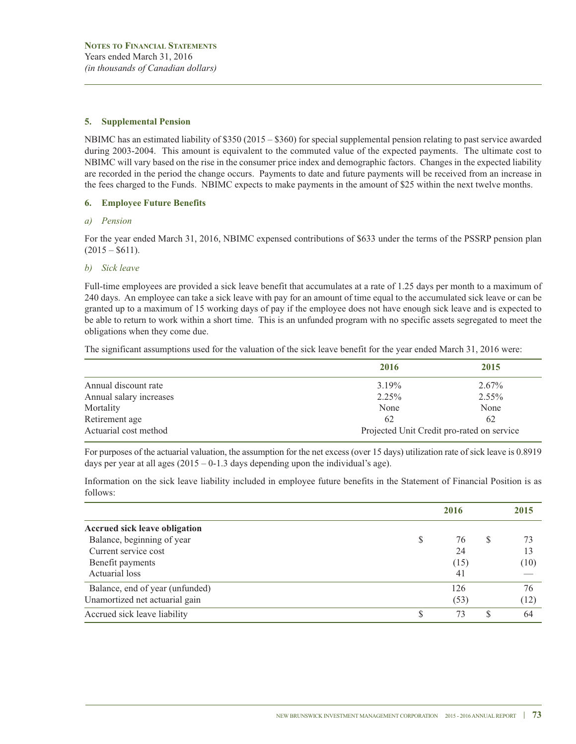#### **5. Supplemental Pension**

NBIMC has an estimated liability of \$350 (2015 – \$360) for special supplemental pension relating to past service awarded during 2003-2004. This amount is equivalent to the commuted value of the expected payments. The ultimate cost to NBIMC will vary based on the rise in the consumer price index and demographic factors. Changes in the expected liability are recorded in the period the change occurs. Payments to date and future payments will be received from an increase in the fees charged to the Funds. NBIMC expects to make payments in the amount of \$25 within the next twelve months.

#### **6. Employee Future Benefits**

#### *a) Pension*

For the year ended March 31, 2016, NBIMC expensed contributions of \$633 under the terms of the PSSRP pension plan  $(2015 - $611)$ .

#### *b) Sick leave*

Full-time employees are provided a sick leave benefit that accumulates at a rate of 1.25 days per month to a maximum of 240 days. An employee can take a sick leave with pay for an amount of time equal to the accumulated sick leave or can be granted up to a maximum of 15 working days of pay if the employee does not have enough sick leave and is expected to be able to return to work within a short time. This is an unfunded program with no specific assets segregated to meet the obligations when they come due.

The significant assumptions used for the valuation of the sick leave benefit for the year ended March 31, 2016 were:

|                         | 2016     | 2015                                       |  |  |  |
|-------------------------|----------|--------------------------------------------|--|--|--|
| Annual discount rate    | $3.19\%$ | $2.67\%$                                   |  |  |  |
| Annual salary increases | $2.25\%$ | $2.55\%$                                   |  |  |  |
| Mortality               | None     | None                                       |  |  |  |
| Retirement age          | 62       | 62                                         |  |  |  |
| Actuarial cost method   |          | Projected Unit Credit pro-rated on service |  |  |  |

For purposes of the actuarial valuation, the assumption for the net excess (over 15 days) utilization rate of sick leave is 0.8919 days per year at all ages  $(2015 - 0.1.3$  days depending upon the individual's age).

Information on the sick leave liability included in employee future benefits in the Statement of Financial Position is as follows:

|                                 |   | 2016 |   | 2015 |
|---------------------------------|---|------|---|------|
| Accrued sick leave obligation   |   |      |   |      |
| Balance, beginning of year      | S | 76   | S | 73   |
| Current service cost            |   | 24   |   | 13   |
| Benefit payments                |   | (15) |   | (10) |
| Actuarial loss                  |   | 41   |   |      |
| Balance, end of year (unfunded) |   | 126  |   | 76   |
| Unamortized net actuarial gain  |   | (53) |   | (12) |
| Accrued sick leave liability    |   | 73   | S | 64   |